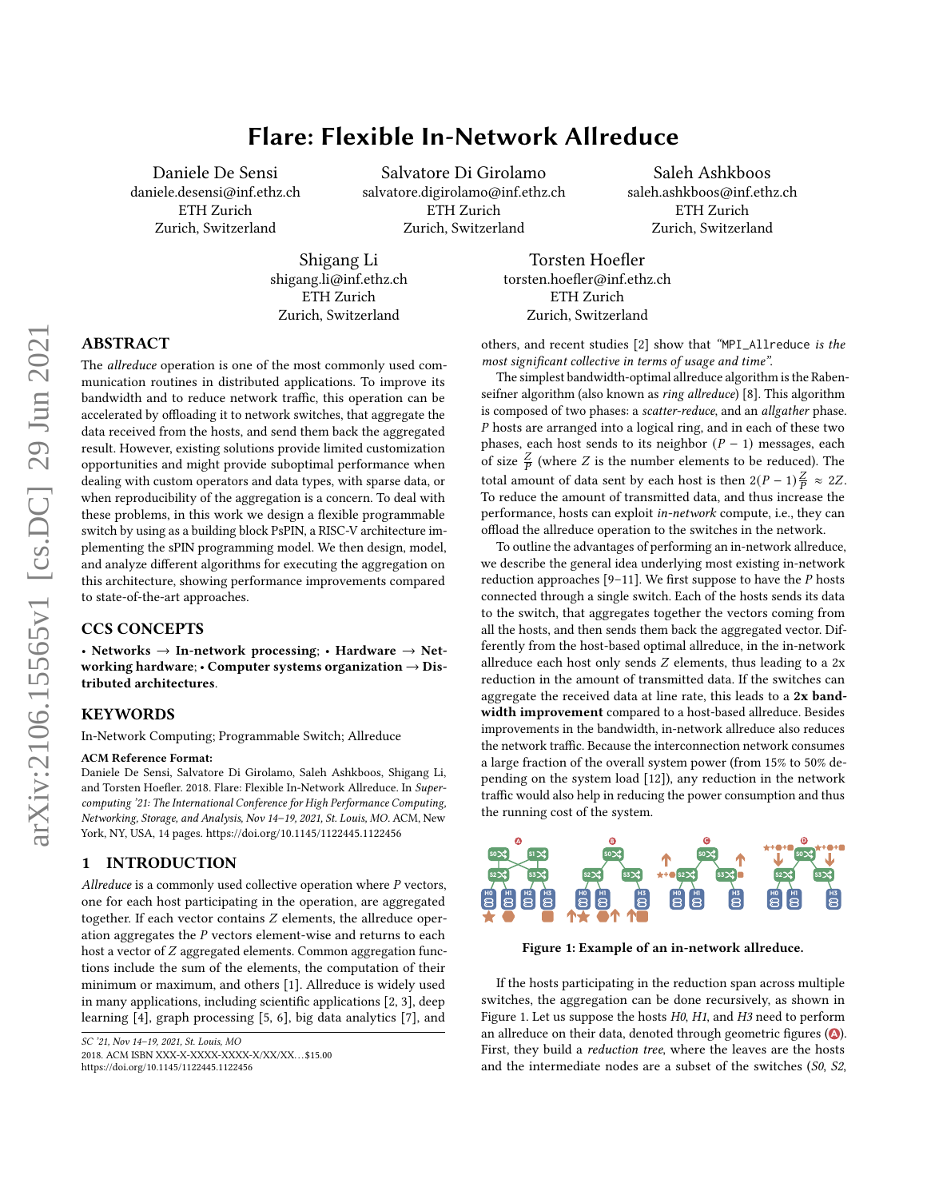# Flare: Flexible In-Network Allreduce

Daniele De Sensi daniele.desensi@inf.ethz.ch ETH Zurich Zurich, Switzerland

Salvatore Di Girolamo salvatore.digirolamo@inf.ethz.ch ETH Zurich Zurich, Switzerland

Saleh Ashkboos saleh.ashkboos@inf.ethz.ch ETH Zurich Zurich, Switzerland

Shigang Li shigang.li@inf.ethz.ch ETH Zurich Zurich, Switzerland

Torsten Hoefler torsten.hoefler@inf.ethz.ch ETH Zurich Zurich, Switzerland

# ABSTRACT

The allreduce operation is one of the most commonly used communication routines in distributed applications. To improve its bandwidth and to reduce network traffic, this operation can be accelerated by offloading it to network switches, that aggregate the data received from the hosts, and send them back the aggregated result. However, existing solutions provide limited customization opportunities and might provide suboptimal performance when dealing with custom operators and data types, with sparse data, or when reproducibility of the aggregation is a concern. To deal with these problems, in this work we design a flexible programmable switch by using as a building block PsPIN, a RISC-V architecture implementing the sPIN programming model. We then design, model, and analyze different algorithms for executing the aggregation on this architecture, showing performance improvements compared to state-of-the-art approaches.

## CCS CONCEPTS

• Networks  $\rightarrow$  In-network processing; • Hardware  $\rightarrow$  Networking hardware;  $\cdot$  Computer systems organization  $\rightarrow$  Distributed architectures.

## **KEYWORDS**

In-Network Computing; Programmable Switch; Allreduce

#### ACM Reference Format:

Daniele De Sensi, Salvatore Di Girolamo, Saleh Ashkboos, Shigang Li, and Torsten Hoefler. 2018. Flare: Flexible In-Network Allreduce. In Supercomputing '21: The International Conference for High Performance Computing, Networking, Storage, and Analysis, Nov 14–19, 2021, St. Louis, MO. ACM, New York, NY, USA, [14](#page-13-0) pages.<https://doi.org/10.1145/1122445.1122456>

#### 1 INTRODUCTION

Allreduce is a commonly used collective operation where  $P$  vectors, one for each host participating in the operation, are aggregated together. If each vector contains  $Z$  elements, the allreduce operation aggregates the  $P$  vectors element-wise and returns to each host a vector of  $Z$  aggregated elements. Common aggregation functions include the sum of the elements, the computation of their minimum or maximum, and others [\[1\]](#page-11-0). Allreduce is widely used in many applications, including scientific applications [\[2,](#page-11-1) [3\]](#page-11-2), deep learning [\[4\]](#page-11-3), graph processing [\[5,](#page-11-4) [6\]](#page-11-5), big data analytics [\[7\]](#page-11-6), and

2018. ACM ISBN XXX-X-XXXX-XXXX-X/XX/XX. . . \$15.00

others, and recent studies [\[2\]](#page-11-1) show that "MPI\_Allreduce is the most significant collective in terms of usage and time".

The simplest bandwidth-optimal allreduce algorithm is the Raben-seifner algorithm (also known as ring allreduce) [\[8\]](#page-11-7). This algorithm is composed of two phases: a scatter-reduce, and an allgather phase. P hosts are arranged into a logical ring, and in each of these two phases, each host sends to its neighbor  $(P - 1)$  messages, each of size  $\frac{Z}{P}$  (where Z is the number elements to be reduced). The total amount of data sent by each host is then  $2(P-1)\frac{Z}{P} \approx 2Z$ . To reduce the amount of transmitted data, and thus increase the performance, hosts can exploit in-network compute, i.e., they can offload the allreduce operation to the switches in the network.

To outline the advantages of performing an in-network allreduce, we describe the general idea underlying most existing in-network reduction approaches  $[9-11]$  $[9-11]$ . We first suppose to have the  $P$  hosts connected through a single switch. Each of the hosts sends its data to the switch, that aggregates together the vectors coming from all the hosts, and then sends them back the aggregated vector. Differently from the host-based optimal allreduce, in the in-network allreduce each host only sends  $Z$  elements, thus leading to a  $2x$ reduction in the amount of transmitted data. If the switches can aggregate the received data at line rate, this leads to a 2x bandwidth improvement compared to a host-based allreduce. Besides improvements in the bandwidth, in-network allreduce also reduces the network traffic. Because the interconnection network consumes a large fraction of the overall system power (from 15% to 50% depending on the system load [\[12\]](#page-11-10)), any reduction in the network traffic would also help in reducing the power consumption and thus the running cost of the system.

<span id="page-0-0"></span>

Figure 1: Example of an in-network allreduce.

If the hosts participating in the reduction span across multiple switches, the aggregation can be done recursively, as shown in Figure [1.](#page-0-0) Let us suppose the hosts H0, H1, and H3 need to perform an allreduce on their data, denoted through geometric figures ( $\bullet$ ). First, they build a reduction tree, where the leaves are the hosts and the intermediate nodes are a subset of the switches (S0, S2,

SC '21, Nov 14–19, 2021, St. Louis, MO

<https://doi.org/10.1145/1122445.1122456>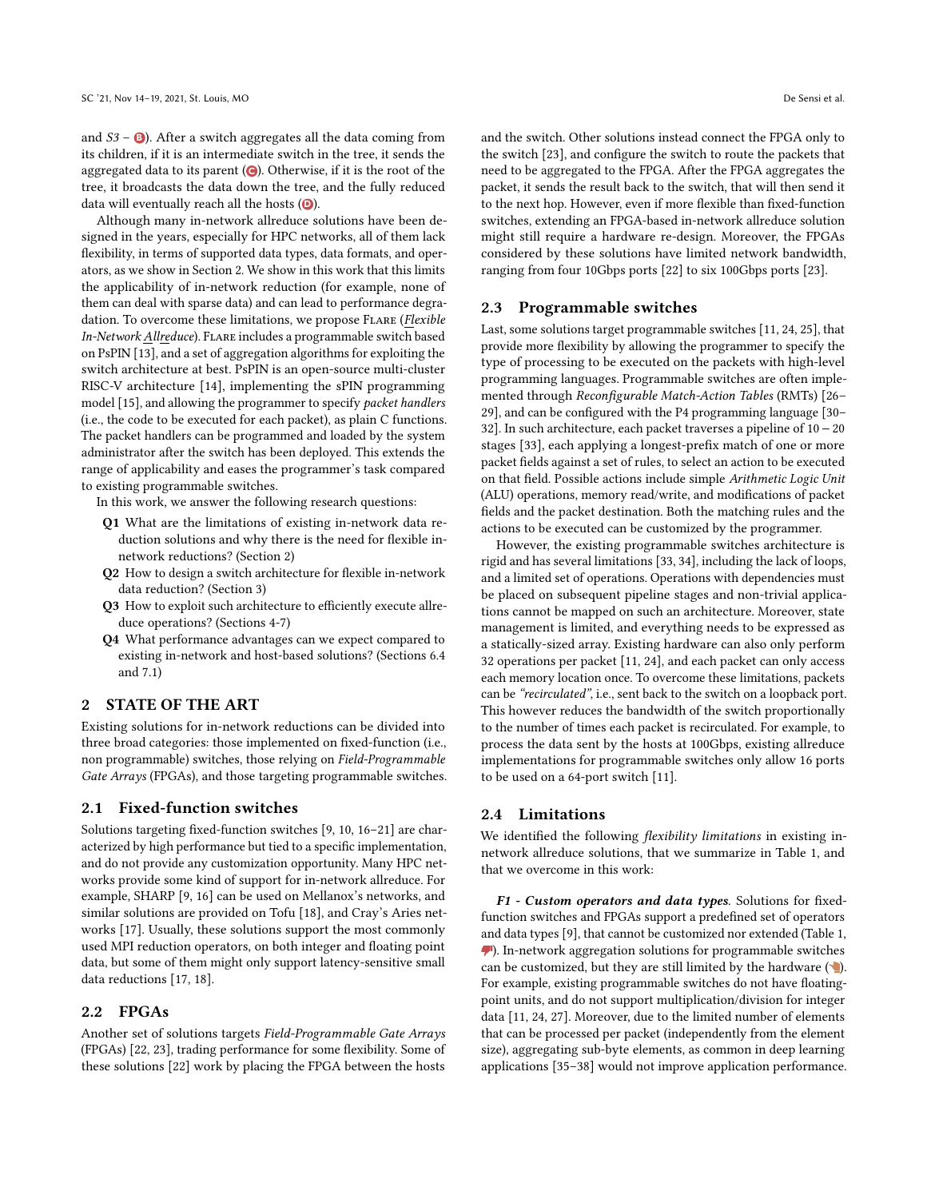and S3 – **<sup>B</sup>** ). After a switch aggregates all the data coming from its children, if it is an intermediate switch in the tree, it sends the aggregated data to its parent ( **C** ). Otherwise, if it is the root of the tree, it broadcasts the data down the tree, and the fully reduced data will eventually reach all the hosts ( **D** ).

Although many in-network allreduce solutions have been designed in the years, especially for HPC networks, all of them lack flexibility, in terms of supported data types, data formats, and operators, as we show in Section [2.](#page-1-0) We show in this work that this limits the applicability of in-network reduction (for example, none of them can deal with sparse data) and can lead to performance degradation. To overcome these limitations, we propose FLARE (Flexible In-Network Allreduce). Flare includes a programmable switch based on PsPIN [\[13\]](#page-11-11), and a set of aggregation algorithms for exploiting the switch architecture at best. PsPIN is an open-source multi-cluster RISC-V architecture [\[14\]](#page-11-12), implementing the sPIN programming model [\[15\]](#page-11-13), and allowing the programmer to specify packet handlers (i.e., the code to be executed for each packet), as plain C functions. The packet handlers can be programmed and loaded by the system administrator after the switch has been deployed. This extends the range of applicability and eases the programmer's task compared to existing programmable switches.

In this work, we answer the following research questions:

- Q1 What are the limitations of existing in-network data reduction solutions and why there is the need for flexible innetwork reductions? (Section [2\)](#page-1-0)
- Q2 How to design a switch architecture for flexible in-network data reduction? (Section [3\)](#page-2-0)
- Q3 How to exploit such architecture to efficiently execute allreduce operations? (Sections [4](#page-3-0)[-7\)](#page-8-0)
- Q4 What performance advantages can we expect compared to existing in-network and host-based solutions? (Sections [6.4](#page-8-1) and [7.1\)](#page-9-0)

#### <span id="page-1-0"></span>2 STATE OF THE ART

Existing solutions for in-network reductions can be divided into three broad categories: those implemented on fixed-function (i.e., non programmable) switches, those relying on Field-Programmable Gate Arrays (FPGAs), and those targeting programmable switches.

## 2.1 Fixed-function switches

Solutions targeting fixed-function switches [\[9,](#page-11-8) [10,](#page-11-14) [16–](#page-11-15)[21\]](#page-11-16) are characterized by high performance but tied to a specific implementation, and do not provide any customization opportunity. Many HPC networks provide some kind of support for in-network allreduce. For example, SHARP [\[9,](#page-11-8) [16\]](#page-11-15) can be used on Mellanox's networks, and similar solutions are provided on Tofu [\[18\]](#page-11-17), and Cray's Aries networks [\[17\]](#page-11-18). Usually, these solutions support the most commonly used MPI reduction operators, on both integer and floating point data, but some of them might only support latency-sensitive small data reductions [\[17,](#page-11-18) [18\]](#page-11-17).

## 2.2 FPGAs

Another set of solutions targets Field-Programmable Gate Arrays (FPGAs) [\[22,](#page-11-19) [23\]](#page-11-20), trading performance for some flexibility. Some of these solutions [\[22\]](#page-11-19) work by placing the FPGA between the hosts and the switch. Other solutions instead connect the FPGA only to the switch [\[23\]](#page-11-20), and configure the switch to route the packets that need to be aggregated to the FPGA. After the FPGA aggregates the packet, it sends the result back to the switch, that will then send it to the next hop. However, even if more flexible than fixed-function switches, extending an FPGA-based in-network allreduce solution might still require a hardware re-design. Moreover, the FPGAs considered by these solutions have limited network bandwidth, ranging from four 10Gbps ports [\[22\]](#page-11-19) to six 100Gbps ports [\[23\]](#page-11-20).

#### 2.3 Programmable switches

Last, some solutions target programmable switches [\[11,](#page-11-9) [24,](#page-11-21) [25\]](#page-11-22), that provide more flexibility by allowing the programmer to specify the type of processing to be executed on the packets with high-level programming languages. Programmable switches are often implemented through Reconfigurable Match-Action Tables (RMTs) [\[26–](#page-11-23) [29\]](#page-11-24), and can be configured with the P4 programming language [\[30–](#page-12-0) [32\]](#page-12-1). In such architecture, each packet traverses a pipeline of 10 − 20 stages [\[33\]](#page-12-2), each applying a longest-prefix match of one or more packet fields against a set of rules, to select an action to be executed on that field. Possible actions include simple Arithmetic Logic Unit (ALU) operations, memory read/write, and modifications of packet fields and the packet destination. Both the matching rules and the actions to be executed can be customized by the programmer.

However, the existing programmable switches architecture is rigid and has several limitations [\[33,](#page-12-2) [34\]](#page-12-3), including the lack of loops, and a limited set of operations. Operations with dependencies must be placed on subsequent pipeline stages and non-trivial applications cannot be mapped on such an architecture. Moreover, state management is limited, and everything needs to be expressed as a statically-sized array. Existing hardware can also only perform 32 operations per packet [\[11,](#page-11-9) [24\]](#page-11-21), and each packet can only access each memory location once. To overcome these limitations, packets can be "recirculated", i.e., sent back to the switch on a loopback port. This however reduces the bandwidth of the switch proportionally to the number of times each packet is recirculated. For example, to process the data sent by the hosts at 100Gbps, existing allreduce implementations for programmable switches only allow 16 ports to be used on a 64-port switch [\[11\]](#page-11-9).

#### 2.4 Limitations

We identified the following *flexibility limitations* in existing innetwork allreduce solutions, that we summarize in Table [1,](#page-2-1) and that we overcome in this work:

F1 - Custom operators and data types. Solutions for fixedfunction switches and FPGAs support a predefined set of operators and data types [\[9\]](#page-11-8), that cannot be customized nor extended (Table [1,](#page-2-1) ). In-network aggregation solutions for programmable switches can be customized, but they are still limited by the hardware  $(\bullet)$ . For example, existing programmable switches do not have floatingpoint units, and do not support multiplication/division for integer data [\[11,](#page-11-9) [24,](#page-11-21) [27\]](#page-11-25). Moreover, due to the limited number of elements that can be processed per packet (independently from the element size), aggregating sub-byte elements, as common in deep learning applications [\[35](#page-12-4)[–38\]](#page-12-5) would not improve application performance.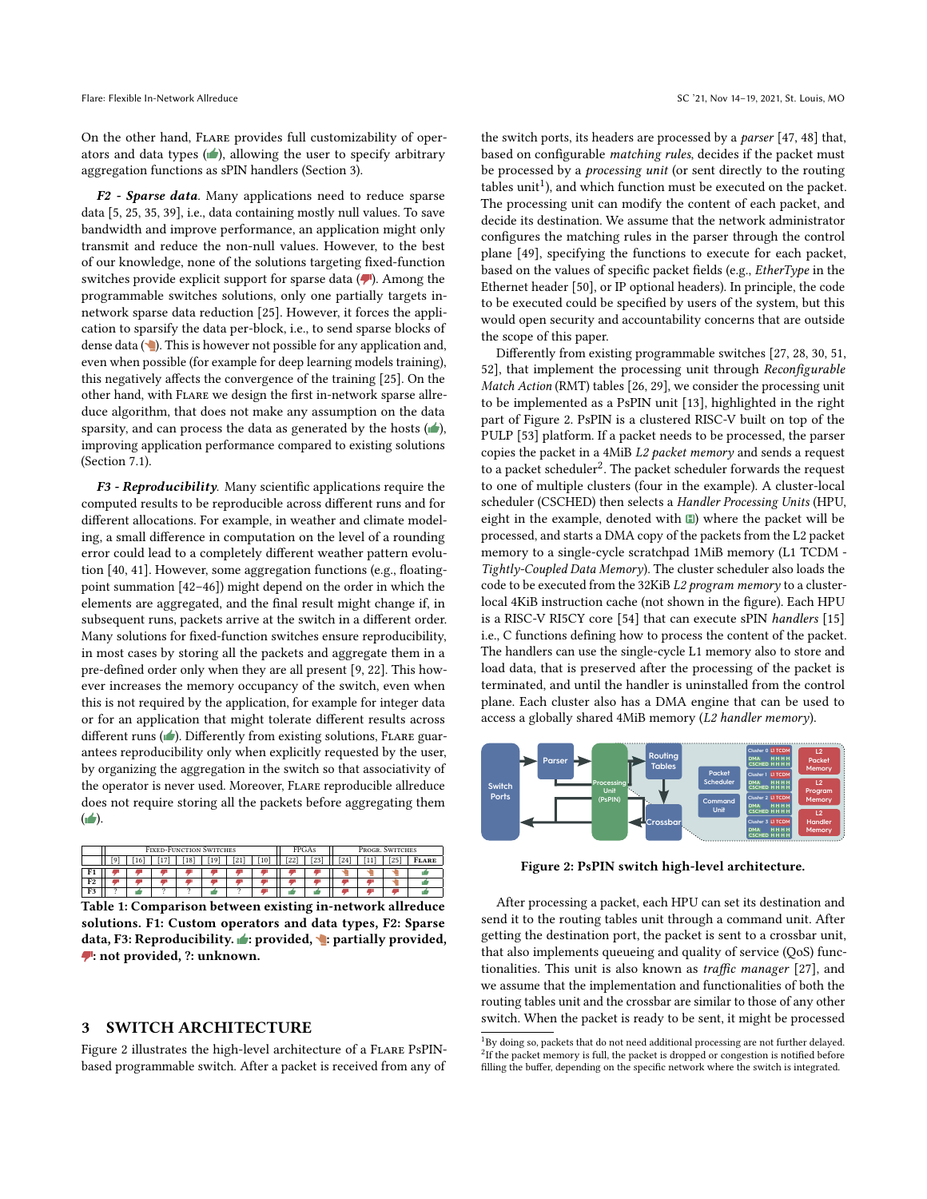On the other hand, Flare provides full customizability of operators and data types  $(\bullet)$ , allowing the user to specify arbitrary aggregation functions as sPIN handlers (Section [3\)](#page-2-0).

F2 - Sparse data. Many applications need to reduce sparse data [\[5,](#page-11-4) [25,](#page-11-22) [35,](#page-12-4) [39\]](#page-12-6), i.e., data containing mostly null values. To save bandwidth and improve performance, an application might only transmit and reduce the non-null values. However, to the best of our knowledge, none of the solutions targeting fixed-function switches provide explicit support for sparse data  $($ . Among the programmable switches solutions, only one partially targets innetwork sparse data reduction [\[25\]](#page-11-22). However, it forces the application to sparsify the data per-block, i.e., to send sparse blocks of dense data  $(\blacksquare)$ . This is however not possible for any application and, even when possible (for example for deep learning models training), this negatively affects the convergence of the training [\[25\]](#page-11-22). On the other hand, with Flare we design the first in-network sparse allreduce algorithm, that does not make any assumption on the data sparsity, and can process the data as generated by the hosts  $(\blacktriangle)$ , improving application performance compared to existing solutions (Section [7.1\)](#page-9-0).

F3 - Reproducibility. Many scientific applications require the computed results to be reproducible across different runs and for different allocations. For example, in weather and climate modeling, a small difference in computation on the level of a rounding error could lead to a completely different weather pattern evolution [\[40,](#page-12-7) [41\]](#page-12-8). However, some aggregation functions (e.g., floatingpoint summation [\[42](#page-12-9)[–46\]](#page-12-10)) might depend on the order in which the elements are aggregated, and the final result might change if, in subsequent runs, packets arrive at the switch in a different order. Many solutions for fixed-function switches ensure reproducibility, in most cases by storing all the packets and aggregate them in a pre-defined order only when they are all present [\[9,](#page-11-8) [22\]](#page-11-19). This however increases the memory occupancy of the switch, even when this is not required by the application, for example for integer data or for an application that might tolerate different results across different runs  $(\blacktriangle)$ . Differently from existing solutions, FLARE guarantees reproducibility only when explicitly requested by the user, by organizing the aggregation in the switch so that associativity of the operator is never used. Moreover, Flare reproducible allreduce does not require storing all the packets before aggregating them  $(\Box)$ .

<span id="page-2-1"></span>

|                | <b>FIXED-FUNCTION SWITCHES</b> |    |  |    |    |      | FPGAs |      | <b>PROGR. SWITCHES</b> |         |  |     |              |
|----------------|--------------------------------|----|--|----|----|------|-------|------|------------------------|---------|--|-----|--------------|
|                | ۱o                             | 16 |  | 18 | 19 | [21] | [10]  | [22] | 23                     | $^{24}$ |  | [25 | <b>FLARE</b> |
|                |                                |    |  |    |    |      |       |      |                        |         |  |     |              |
|                |                                |    |  |    |    |      |       |      |                        |         |  |     |              |
| F <sub>2</sub> |                                |    |  |    |    |      |       |      |                        |         |  |     |              |

Table 1: Comparison between existing in-network allreduce solutions. F1: Custom operators and data types, F2: Sparse data, F3: Reproducibility.  $\blacktriangleright$ : provided,  $\blacktriangleright$ : partially provided, : not provided, ?: unknown.

## <span id="page-2-0"></span>3 SWITCH ARCHITECTURE

Figure [2](#page-2-2) illustrates the high-level architecture of a FLARE PsPINbased programmable switch. After a packet is received from any of

the switch ports, its headers are processed by a parser [\[47,](#page-12-11) [48\]](#page-12-12) that, based on configurable matching rules, decides if the packet must be processed by a processing unit (or sent directly to the routing tables unit<sup>[1](#page-2-3)</sup>), and which function must be executed on the packet. The processing unit can modify the content of each packet, and decide its destination. We assume that the network administrator configures the matching rules in the parser through the control plane [\[49\]](#page-12-13), specifying the functions to execute for each packet, based on the values of specific packet fields (e.g., EtherType in the Ethernet header [\[50\]](#page-12-14), or IP optional headers). In principle, the code to be executed could be specified by users of the system, but this would open security and accountability concerns that are outside the scope of this paper.

Differently from existing programmable switches [\[27,](#page-11-25) [28,](#page-11-27) [30,](#page-12-0) [51,](#page-12-15) [52\]](#page-12-16), that implement the processing unit through Reconfigurable Match Action (RMT) tables [\[26,](#page-11-23) [29\]](#page-11-24), we consider the processing unit to be implemented as a PsPIN unit [\[13\]](#page-11-11), highlighted in the right part of Figure [2.](#page-2-2) PsPIN is a clustered RISC-V built on top of the PULP [\[53\]](#page-12-17) platform. If a packet needs to be processed, the parser copies the packet in a 4MiB L2 packet memory and sends a request to a packet scheduler[2](#page-2-4) . The packet scheduler forwards the request to one of multiple clusters (four in the example). A cluster-local scheduler (CSCHED) then selects a Handler Processing Units (HPU, eight in the example, denoted with **H** ) where the packet will be processed, and starts a DMA copy of the packets from the L2 packet memory to a single-cycle scratchpad 1MiB memory (L1 TCDM - Tightly-Coupled Data Memory). The cluster scheduler also loads the code to be executed from the 32KiB L2 program memory to a clusterlocal 4KiB instruction cache (not shown in the figure). Each HPU is a RISC-V RI5CY core [\[54\]](#page-12-18) that can execute sPIN handlers [\[15\]](#page-11-13) i.e., C functions defining how to process the content of the packet. The handlers can use the single-cycle L1 memory also to store and load data, that is preserved after the processing of the packet is terminated, and until the handler is uninstalled from the control plane. Each cluster also has a DMA engine that can be used to access a globally shared 4MiB memory (L2 handler memory).

<span id="page-2-2"></span>

Figure 2: PsPIN switch high-level architecture.

After processing a packet, each HPU can set its destination and send it to the routing tables unit through a command unit. After getting the destination port, the packet is sent to a crossbar unit, that also implements queueing and quality of service (QoS) functionalities. This unit is also known as traffic manager [\[27\]](#page-11-25), and we assume that the implementation and functionalities of both the routing tables unit and the crossbar are similar to those of any other switch. When the packet is ready to be sent, it might be processed

<span id="page-2-4"></span><span id="page-2-3"></span> $^1\mathrm{By}$  doing so, packets that do not need additional processing are not further delayed.  $2$ If the packet memory is full, the packet is dropped or congestion is notified before filling the buffer, depending on the specific network where the switch is integrated.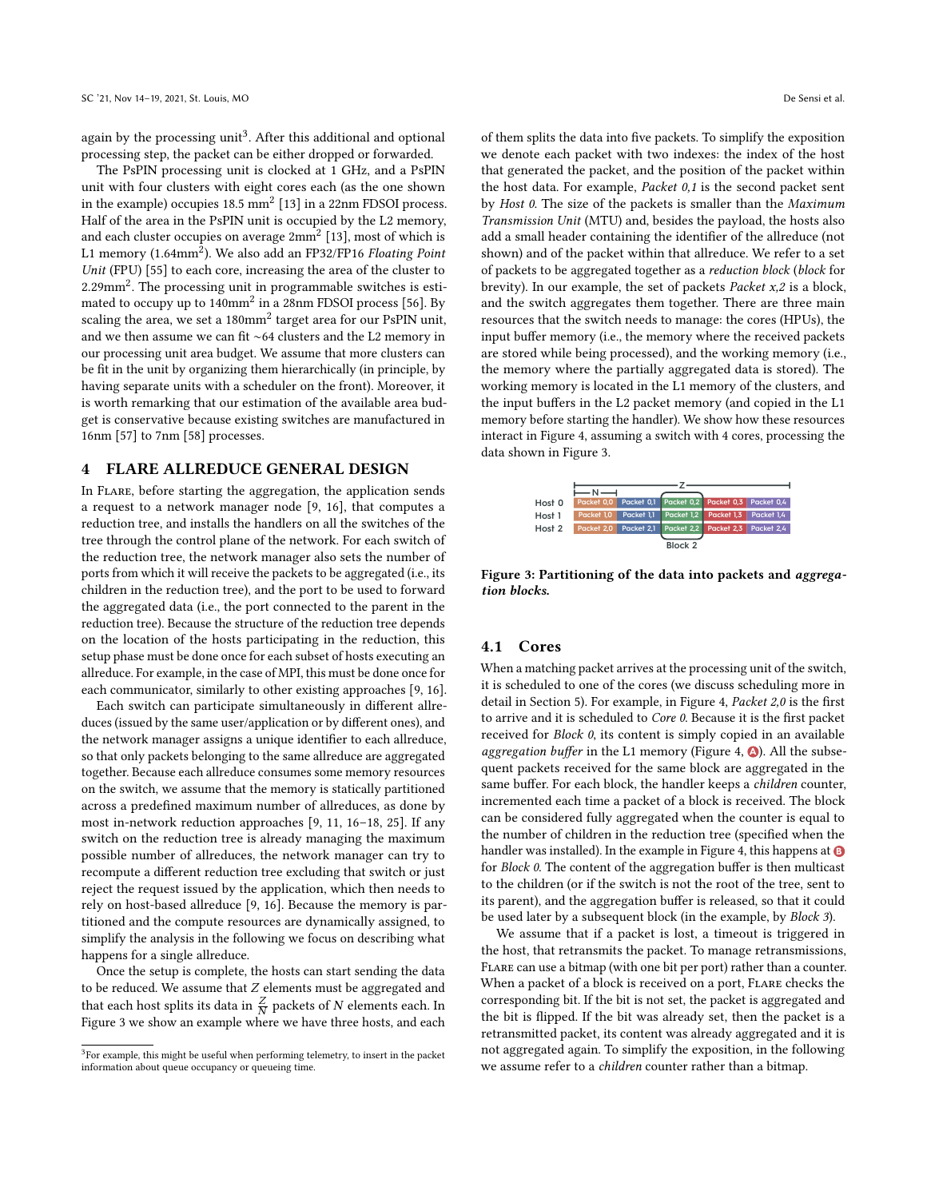again by the processing unit<sup>[3](#page-3-1)</sup>. After this additional and optional processing step, the packet can be either dropped or forwarded.

The PsPIN processing unit is clocked at 1 GHz, and a PsPIN unit with four clusters with eight cores each (as the one shown in the example) occupies  $18.5 \text{ mm}^2$  [\[13\]](#page-11-11) in a  $22 \text{nm}$  FDSOI process. Half of the area in the PsPIN unit is occupied by the L2 memory, and each cluster occupies on average  $2mm^2$  [\[13\]](#page-11-11), most of which is L1 memory (1.64mm<sup>2</sup>). We also add an FP32/FP16 Floating Point Unit (FPU) [\[55\]](#page-12-19) to each core, increasing the area of the cluster to  $2.29$  mm<sup>2</sup>. The processing unit in programmable switches is estimated to occupy up to  $140$ mm<sup>2</sup> in a 28nm FDSOI process [\[56\]](#page-12-20). By scaling the area, we set a 180mm<sup>2</sup> target area for our PsPIN unit. and we then assume we can fit ∼64 clusters and the L2 memory in our processing unit area budget. We assume that more clusters can be fit in the unit by organizing them hierarchically (in principle, by having separate units with a scheduler on the front). Moreover, it is worth remarking that our estimation of the available area budget is conservative because existing switches are manufactured in 16nm [\[57\]](#page-12-21) to 7nm [\[58\]](#page-12-22) processes.

## <span id="page-3-0"></span>4 FLARE ALLREDUCE GENERAL DESIGN

In Flare, before starting the aggregation, the application sends a request to a network manager node [\[9,](#page-11-8) [16\]](#page-11-15), that computes a reduction tree, and installs the handlers on all the switches of the tree through the control plane of the network. For each switch of the reduction tree, the network manager also sets the number of ports from which it will receive the packets to be aggregated (i.e., its children in the reduction tree), and the port to be used to forward the aggregated data (i.e., the port connected to the parent in the reduction tree). Because the structure of the reduction tree depends on the location of the hosts participating in the reduction, this setup phase must be done once for each subset of hosts executing an allreduce. For example, in the case of MPI, this must be done once for each communicator, similarly to other existing approaches [\[9,](#page-11-8) [16\]](#page-11-15).

Each switch can participate simultaneously in different allreduces (issued by the same user/application or by different ones), and the network manager assigns a unique identifier to each allreduce, so that only packets belonging to the same allreduce are aggregated together. Because each allreduce consumes some memory resources on the switch, we assume that the memory is statically partitioned across a predefined maximum number of allreduces, as done by most in-network reduction approaches [\[9,](#page-11-8) [11,](#page-11-9) [16](#page-11-15)[–18,](#page-11-17) [25\]](#page-11-22). If any switch on the reduction tree is already managing the maximum possible number of allreduces, the network manager can try to recompute a different reduction tree excluding that switch or just reject the request issued by the application, which then needs to rely on host-based allreduce [\[9,](#page-11-8) [16\]](#page-11-15). Because the memory is partitioned and the compute resources are dynamically assigned, to simplify the analysis in the following we focus on describing what happens for a single allreduce.

Once the setup is complete, the hosts can start sending the data to be reduced. We assume that  $Z$  elements must be aggregated and that each host splits its data in  $\frac{Z}{N}$  packets of N elements each. In Figure [3](#page-3-2) we show an example where we have three hosts, and each of them splits the data into five packets. To simplify the exposition we denote each packet with two indexes: the index of the host that generated the packet, and the position of the packet within the host data. For example, Packet 0,1 is the second packet sent by Host 0. The size of the packets is smaller than the Maximum Transmission Unit (MTU) and, besides the payload, the hosts also add a small header containing the identifier of the allreduce (not shown) and of the packet within that allreduce. We refer to a set of packets to be aggregated together as a reduction block (block for brevity). In our example, the set of packets *Packet*  $x, 2$  is a block, and the switch aggregates them together. There are three main resources that the switch needs to manage: the cores (HPUs), the input buffer memory (i.e., the memory where the received packets are stored while being processed), and the working memory (i.e., the memory where the partially aggregated data is stored). The working memory is located in the L1 memory of the clusters, and the input buffers in the L2 packet memory (and copied in the L1 memory before starting the handler). We show how these resources interact in Figure [4,](#page-4-0) assuming a switch with 4 cores, processing the data shown in Figure [3.](#page-3-2)

<span id="page-3-2"></span>

Figure 3: Partitioning of the data into packets and aggregation blocks.

## <span id="page-3-3"></span>4.1 Cores

When a matching packet arrives at the processing unit of the switch, it is scheduled to one of the cores (we discuss scheduling more in detail in Section [5\)](#page-4-1). For example, in Figure [4,](#page-4-0) Packet 2,0 is the first to arrive and it is scheduled to Core 0. Because it is the first packet received for Block 0, its content is simply copied in an available aggregation buffer in the L1 memory (Figure [4,](#page-4-0) <sup>0</sup>). All the subsequent packets received for the same block are aggregated in the same buffer. For each block, the handler keeps a *children* counter, incremented each time a packet of a block is received. The block can be considered fully aggregated when the counter is equal to the number of children in the reduction tree (specified when the handler was installed). In the example in Figure [4,](#page-4-0) this happens at **B** for Block 0. The content of the aggregation buffer is then multicast to the children (or if the switch is not the root of the tree, sent to its parent), and the aggregation buffer is released, so that it could be used later by a subsequent block (in the example, by Block 3).

We assume that if a packet is lost, a timeout is triggered in the host, that retransmits the packet. To manage retransmissions, Flare can use a bitmap (with one bit per port) rather than a counter. When a packet of a block is received on a port, FLARE checks the corresponding bit. If the bit is not set, the packet is aggregated and the bit is flipped. If the bit was already set, then the packet is a retransmitted packet, its content was already aggregated and it is not aggregated again. To simplify the exposition, in the following we assume refer to a children counter rather than a bitmap.

<span id="page-3-1"></span> $\rm{^{3}F}$ or example, this might be useful when performing telemetry, to insert in the packet information about queue occupancy or queueing time.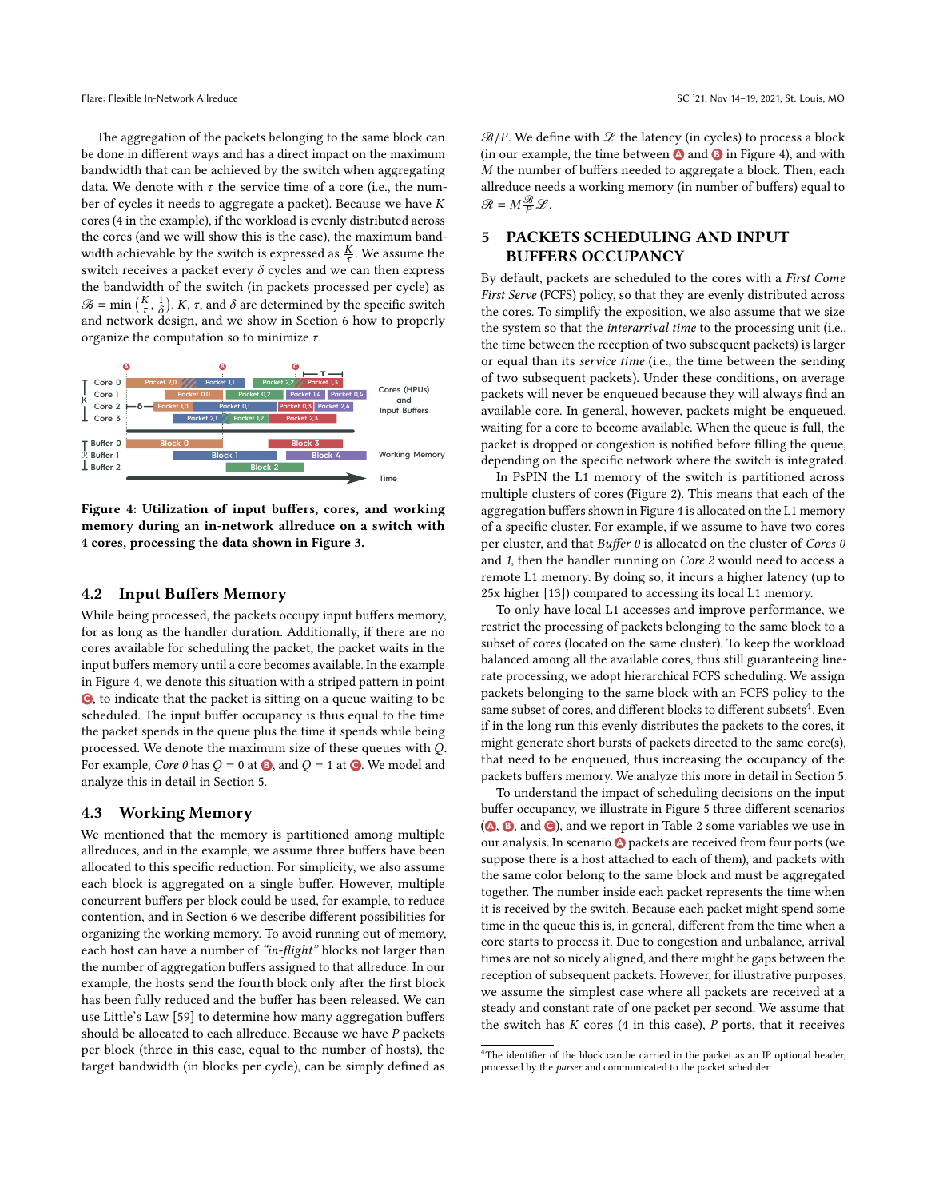The aggregation of the packets belonging to the same block can be done in different ways and has a direct impact on the maximum bandwidth that can be achieved by the switch when aggregating data. We denote with  $\tau$  the service time of a core (i.e., the number of cycles it needs to aggregate a packet). Because we have  $K$ cores (4 in the example), if the workload is evenly distributed across the cores (and we will show this is the case), the maximum bandwidth achievable by the switch is expressed as  $\frac{K}{\tau}$ . We assume the switch receives a packet every  $\delta$  cycles and we can then express the bandwidth of the switch (in packets processed per cycle) as  $\mathscr{B} = \min\left(\frac{K}{\tau}, \frac{1}{\delta}\right)$ . K,  $\tau$ , and  $\delta$  are determined by the specific switch and network design, and we show in Section [6](#page-6-0) how to properly organize the computation so to minimize  $\tau$ .

<span id="page-4-0"></span>

Figure 4: Utilization of input buffers, cores, and working memory during an in-network allreduce on a switch with 4 cores, processing the data shown in Figure [3.](#page-3-2)

#### 4.2 Input Buffers Memory

While being processed, the packets occupy input buffers memory, for as long as the handler duration. Additionally, if there are no cores available for scheduling the packet, the packet waits in the input buffers memory until a core becomes available. In the example in Figure [4,](#page-4-0) we denote this situation with a striped pattern in point **C** , to indicate that the packet is sitting on a queue waiting to be scheduled. The input buffer occupancy is thus equal to the time the packet spends in the queue plus the time it spends while being processed. We denote the maximum size of these queues with  $Q$ . For example, *Core 0* has  $Q = 0$  at  $\Theta$ , and  $Q = 1$  at  $\Theta$ . We model and analyze this in detail in Section [5.](#page-4-1)

## <span id="page-4-3"></span>4.3 Working Memory

We mentioned that the memory is partitioned among multiple allreduces, and in the example, we assume three buffers have been allocated to this specific reduction. For simplicity, we also assume each block is aggregated on a single buffer. However, multiple concurrent buffers per block could be used, for example, to reduce contention, and in Section [6](#page-6-0) we describe different possibilities for organizing the working memory. To avoid running out of memory, each host can have a number of "in-flight" blocks not larger than the number of aggregation buffers assigned to that allreduce. In our example, the hosts send the fourth block only after the first block has been fully reduced and the buffer has been released. We can use Little's Law [\[59\]](#page-12-23) to determine how many aggregation buffers should be allocated to each allreduce. Because we have  $P$  packets per block (three in this case, equal to the number of hosts), the target bandwidth (in blocks per cycle), can be simply defined as

 $\mathcal{B}/P$ . We define with  $\mathcal L$  the latency (in cycles) to process a block (in our example, the time between  $\bullet$  and  $\bullet$  in Figure [4\)](#page-4-0), and with  $M$  the number of buffers needed to aggregate a block. Then, each allreduce needs a working memory (in number of buffers) equal to  $\mathcal{R} = M \frac{\mathcal{B}}{P} \mathcal{L}.$ 

# <span id="page-4-1"></span>5 PACKETS SCHEDULING AND INPUT BUFFERS OCCUPANCY

By default, packets are scheduled to the cores with a First Come First Serve (FCFS) policy, so that they are evenly distributed across the cores. To simplify the exposition, we also assume that we size the system so that the interarrival time to the processing unit (i.e., the time between the reception of two subsequent packets) is larger or equal than its service time (i.e., the time between the sending of two subsequent packets). Under these conditions, on average packets will never be enqueued because they will always find an available core. In general, however, packets might be enqueued, waiting for a core to become available. When the queue is full, the packet is dropped or congestion is notified before filling the queue, depending on the specific network where the switch is integrated.

In PsPIN the L1 memory of the switch is partitioned across multiple clusters of cores (Figure [2\)](#page-2-2). This means that each of the aggregation buffers shown in Figure [4](#page-4-0) is allocated on the L1 memory of a specific cluster. For example, if we assume to have two cores per cluster, and that Buffer 0 is allocated on the cluster of Cores 0 and 1, then the handler running on Core 2 would need to access a remote L1 memory. By doing so, it incurs a higher latency (up to 25x higher [\[13\]](#page-11-11)) compared to accessing its local L1 memory.

To only have local L1 accesses and improve performance, we restrict the processing of packets belonging to the same block to a subset of cores (located on the same cluster). To keep the workload balanced among all the available cores, thus still guaranteeing linerate processing, we adopt hierarchical FCFS scheduling. We assign packets belonging to the same block with an FCFS policy to the  $\frac{1}{2}$  same subset of cores, and different blocks to different subsets  $^4$  $^4$ . Even if in the long run this evenly distributes the packets to the cores, it might generate short bursts of packets directed to the same core(s), that need to be enqueued, thus increasing the occupancy of the packets buffers memory. We analyze this more in detail in Section [5.](#page-4-1)

To understand the impact of scheduling decisions on the input buffer occupancy, we illustrate in Figure [5](#page-5-0) three different scenarios **(0, 8, and**  $\Theta$ **), and we report in Table [2](#page-5-0) some variables we use in** our analysis. In scenario **A** packets are received from four ports (we suppose there is a host attached to each of them), and packets with the same color belong to the same block and must be aggregated together. The number inside each packet represents the time when it is received by the switch. Because each packet might spend some time in the queue this is, in general, different from the time when a core starts to process it. Due to congestion and unbalance, arrival times are not so nicely aligned, and there might be gaps between the reception of subsequent packets. However, for illustrative purposes, we assume the simplest case where all packets are received at a steady and constant rate of one packet per second. We assume that the switch has  $K$  cores (4 in this case),  $P$  ports, that it receives

<span id="page-4-2"></span><sup>&</sup>lt;sup>4</sup>The identifier of the block can be carried in the packet as an IP optional header, processed by the parser and communicated to the packet scheduler.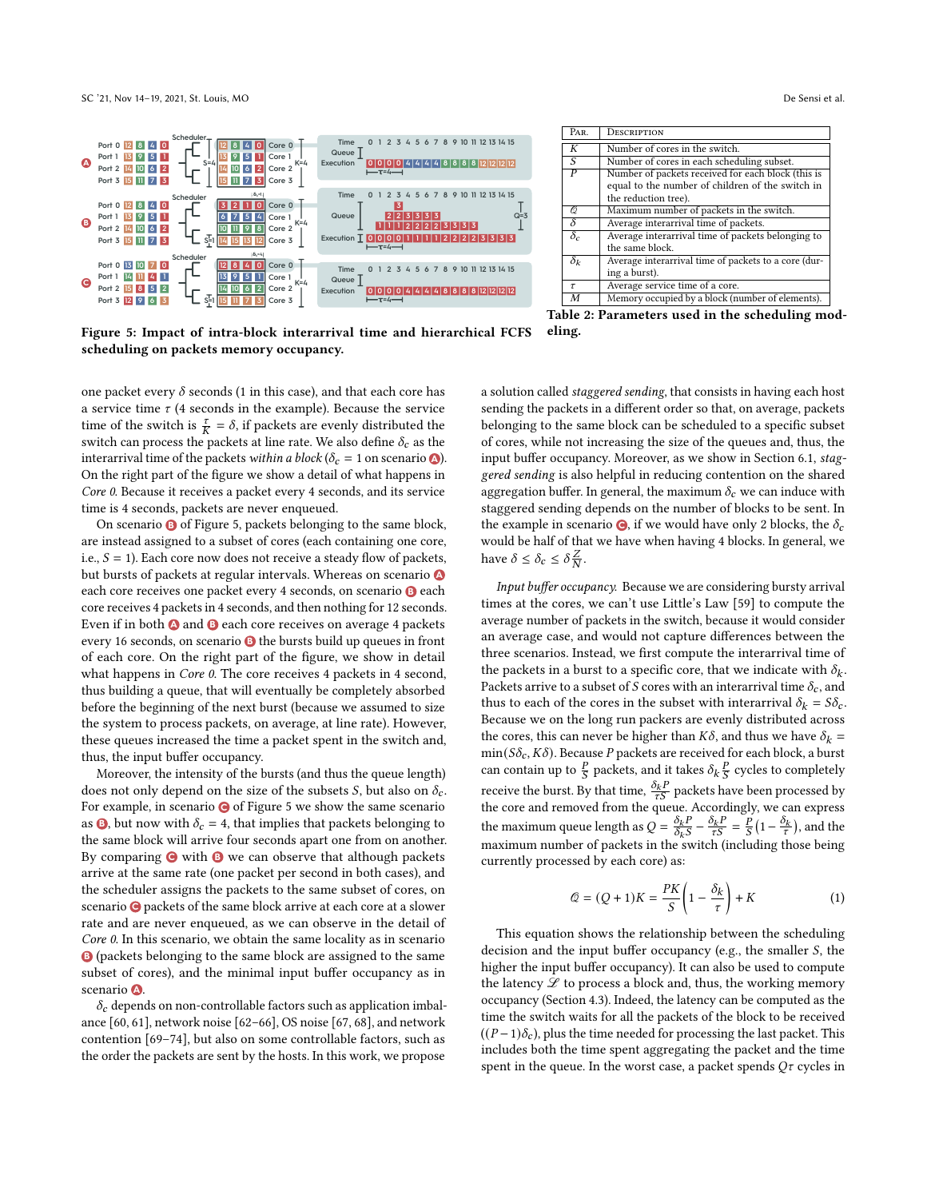

<span id="page-5-0"></span>

Figure 5: Impact of intra-block interarrival time and hierarchical FCFS scheduling on packets memory occupancy.

one packet every  $\delta$  seconds (1 in this case), and that each core has a service time  $\tau$  (4 seconds in the example). Because the service time of the switch is  $\frac{\tau}{K} = \delta$ , if packets are evenly distributed the switch can process the packets at line rate. We also define  $\delta_c$  as the interarrival time of the packets within a block ( $\delta_c = 1$  on scenario  $\bullet$ ). On the right part of the figure we show a detail of what happens in Core 0. Because it receives a packet every 4 seconds, and its service time is 4 seconds, packets are never enqueued.

On scenario **B** of Figure [5,](#page-5-0) packets belonging to the same block, are instead assigned to a subset of cores (each containing one core, i.e.,  $S = 1$ ). Each core now does not receive a steady flow of packets, but bursts of packets at regular intervals. Whereas on scenario **A** each core receives one packet every 4 seconds, on scenario **B** each core receives 4 packets in 4 seconds, and then nothing for 12 seconds. Even if in both **A** and **B** each core receives on average 4 packets every 16 seconds, on scenario **B** the bursts build up queues in front of each core. On the right part of the figure, we show in detail what happens in *Core 0*. The core receives 4 packets in 4 second, thus building a queue, that will eventually be completely absorbed before the beginning of the next burst (because we assumed to size the system to process packets, on average, at line rate). However, these queues increased the time a packet spent in the switch and, thus, the input buffer occupancy.

Moreover, the intensity of the bursts (and thus the queue length) does not only depend on the size of the subsets *S*, but also on  $\delta_c$ . For example, in scenario **C** of Figure [5](#page-5-0) we show the same scenario as **B**, but now with  $\delta_c = 4$ , that implies that packets belonging to the same block will arrive four seconds apart one from on another. By comparing  $\bigcirc$  with  $\bigcirc$  we can observe that although packets arrive at the same rate (one packet per second in both cases), and the scheduler assigns the packets to the same subset of cores, on scenario **C** packets of the same block arrive at each core at a slower rate and are never enqueued, as we can observe in the detail of Core 0. In this scenario, we obtain the same locality as in scenario **B** (packets belonging to the same block are assigned to the same subset of cores), and the minimal input buffer occupancy as in scenario **<sup>A</sup>** .

 $\delta_c$  depends on non-controllable factors such as application imbalance [\[60,](#page-12-24) [61\]](#page-12-25), network noise [\[62](#page-12-26)[–66\]](#page-12-27), OS noise [\[67,](#page-12-28) [68\]](#page-12-29), and network contention [\[69](#page-12-30)[–74\]](#page-13-1), but also on some controllable factors, such as the order the packets are sent by the hosts. In this work, we propose

Table 2: Parameters used in the scheduling modeling.

a solution called staggered sending, that consists in having each host sending the packets in a different order so that, on average, packets belonging to the same block can be scheduled to a specific subset of cores, while not increasing the size of the queues and, thus, the input buffer occupancy. Moreover, as we show in Section [6.1,](#page-6-1) staggered sending is also helpful in reducing contention on the shared aggregation buffer. In general, the maximum  $\delta_c$  we can induce with staggered sending depends on the number of blocks to be sent. In the example in scenario  $\bigcirc$ , if we would have only 2 blocks, the  $\delta_c$ would be half of that we have when having 4 blocks. In general, we have  $\delta \leq \delta_c \leq \delta \frac{Z}{N}$ .

Input buffer occupancy. Because we are considering bursty arrival times at the cores, we can't use Little's Law [\[59\]](#page-12-23) to compute the average number of packets in the switch, because it would consider an average case, and would not capture differences between the three scenarios. Instead, we first compute the interarrival time of the packets in a burst to a specific core, that we indicate with  $\delta_k$ . Packets arrive to a subset of S cores with an interarrival time  $\delta_c$ , and thus to each of the cores in the subset with interarrival  $\delta_k = S \delta_c$ . Because we on the long run packers are evenly distributed across the cores, this can never be higher than  $K\delta,$  and thus we have  $\delta_k =$  $\min(S\delta_{c}, K\delta)$ . Because  $P$  packets are received for each block, a burst can contain up to  $\frac{P}{S}$  packets, and it takes  $\delta_k \frac{P}{S}$  cycles to completely receive the burst. By that time,  $\frac{\delta_k P}{\tau S}$  packets have been processed by the core and removed from the queue. Accordingly, we can express the maximum queue length as  $Q = \frac{\delta_k P}{\delta_k S} - \frac{\delta_k P}{\tau S} = \frac{P}{S} \left( 1 - \frac{\delta_k}{\tau} \right)$ , and the maximum number of packets in the switch (including those being currently processed by each core) as:

<span id="page-5-1"></span>
$$
\mathcal{Q} = (Q+1)K = \frac{PK}{S} \left( 1 - \frac{\delta_k}{\tau} \right) + K \tag{1}
$$

This equation shows the relationship between the scheduling decision and the input buffer occupancy (e.g., the smaller  $S$ , the higher the input buffer occupancy). It can also be used to compute the latency  $L$  to process a block and, thus, the working memory occupancy (Section [4.3\)](#page-4-3). Indeed, the latency can be computed as the time the switch waits for all the packets of the block to be received  $((P-1)\delta_c)$ , plus the time needed for processing the last packet. This includes both the time spent aggregating the packet and the time spent in the queue. In the worst case, a packet spends  $Q\tau$  cycles in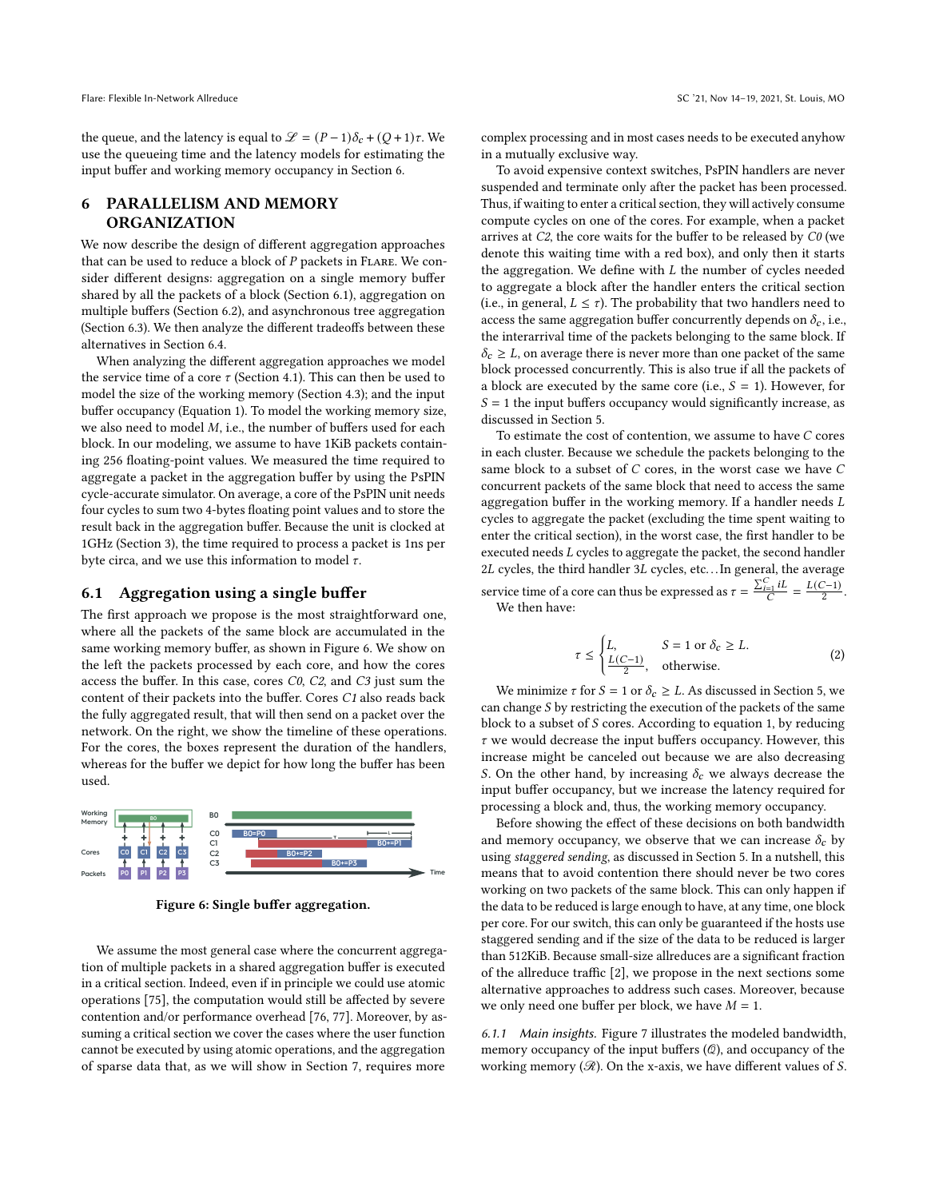the queue, and the latency is equal to  $\mathcal{L} = (P-1)\delta_c + (Q+1)\tau$ . We use the queueing time and the latency models for estimating the input buffer and working memory occupancy in Section [6.](#page-6-0)

## <span id="page-6-0"></span>6 PARALLELISM AND MEMORY ORGANIZATION

We now describe the design of different aggregation approaches that can be used to reduce a block of  $P$  packets in FLARE. We consider different designs: aggregation on a single memory buffer shared by all the packets of a block (Section [6.1\)](#page-6-1), aggregation on multiple buffers (Section [6.2\)](#page-7-0), and asynchronous tree aggregation (Section [6.3\)](#page-7-1). We then analyze the different tradeoffs between these alternatives in Section [6.4.](#page-8-1)

When analyzing the different aggregation approaches we model the service time of a core  $\tau$  (Section [4.1\)](#page-3-3). This can then be used to model the size of the working memory (Section [4.3\)](#page-4-3); and the input buffer occupancy (Equation [1\)](#page-5-1). To model the working memory size, we also need to model  $M$ , i.e., the number of buffers used for each block. In our modeling, we assume to have 1KiB packets containing 256 floating-point values. We measured the time required to aggregate a packet in the aggregation buffer by using the PsPIN cycle-accurate simulator. On average, a core of the PsPIN unit needs four cycles to sum two 4-bytes floating point values and to store the result back in the aggregation buffer. Because the unit is clocked at 1GHz (Section [3\)](#page-2-0), the time required to process a packet is 1ns per byte circa, and we use this information to model  $\tau$ .

#### <span id="page-6-1"></span>6.1 Aggregation using a single buffer

The first approach we propose is the most straightforward one, where all the packets of the same block are accumulated in the same working memory buffer, as shown in Figure [6.](#page-6-2) We show on the left the packets processed by each core, and how the cores access the buffer. In this case, cores C0, C2, and C3 just sum the content of their packets into the buffer. Cores C1 also reads back the fully aggregated result, that will then send on a packet over the network. On the right, we show the timeline of these operations. For the cores, the boxes represent the duration of the handlers, whereas for the buffer we depict for how long the buffer has been used.

<span id="page-6-2"></span>

Figure 6: Single buffer aggregation.

We assume the most general case where the concurrent aggregation of multiple packets in a shared aggregation buffer is executed in a critical section. Indeed, even if in principle we could use atomic operations [\[75\]](#page-13-2), the computation would still be affected by severe contention and/or performance overhead [\[76,](#page-13-3) [77\]](#page-13-4). Moreover, by assuming a critical section we cover the cases where the user function cannot be executed by using atomic operations, and the aggregation of sparse data that, as we will show in Section [7,](#page-8-0) requires more

complex processing and in most cases needs to be executed anyhow in a mutually exclusive way.

To avoid expensive context switches, PsPIN handlers are never suspended and terminate only after the packet has been processed. Thus, if waiting to enter a critical section, they will actively consume compute cycles on one of the cores. For example, when a packet arrives at C2, the core waits for the buffer to be released by C0 (we denote this waiting time with a red box), and only then it starts the aggregation. We define with  $L$  the number of cycles needed to aggregate a block after the handler enters the critical section (i.e., in general,  $L \leq \tau$ ). The probability that two handlers need to access the same aggregation buffer concurrently depends on  $\delta_c$ , i.e., the interarrival time of the packets belonging to the same block. If  $\delta_c \geq L$ , on average there is never more than one packet of the same block processed concurrently. This is also true if all the packets of a block are executed by the same core (i.e.,  $S = 1$ ). However, for  $S = 1$  the input buffers occupancy would significantly increase, as discussed in Section [5.](#page-4-1)

To estimate the cost of contention, we assume to have  $C$  cores in each cluster. Because we schedule the packets belonging to the same block to a subset of  $C$  cores, in the worst case we have  $C$ concurrent packets of the same block that need to access the same aggregation buffer in the working memory. If a handler needs  $L$ cycles to aggregate the packet (excluding the time spent waiting to enter the critical section), in the worst case, the first handler to be executed needs  $L$  cycles to aggregate the packet, the second handler 2L cycles, the third handler 3L cycles, etc...In general, the average service time of a core can thus be expressed as  $\tau = \frac{\sum_{i=1}^{C} iL}{C}$  $\frac{C}{C}$  =  $\frac{L(C-1)}{2}$ .

We then have:

<span id="page-6-3"></span>
$$
\tau \le \begin{cases} L, & S = 1 \text{ or } \delta_c \ge L, \\ \frac{L(C-1)}{2}, & \text{otherwise.} \end{cases}
$$
 (2)

We minimize  $\tau$  for  $S = 1$  or  $\delta_c \geq L$ . As discussed in Section [5,](#page-4-1) we can change  $S$  by restricting the execution of the packets of the same block to a subset of  $S$  cores. According to equation [1,](#page-5-1) by reducing  $\tau$  we would decrease the input buffers occupancy. However, this increase might be canceled out because we are also decreasing S. On the other hand, by increasing  $\delta_c$  we always decrease the input buffer occupancy, but we increase the latency required for processing a block and, thus, the working memory occupancy.

Before showing the effect of these decisions on both bandwidth and memory occupancy, we observe that we can increase  $\delta_c$  by using staggered sending, as discussed in Section [5.](#page-4-1) In a nutshell, this means that to avoid contention there should never be two cores working on two packets of the same block. This can only happen if the data to be reduced is large enough to have, at any time, one block per core. For our switch, this can only be guaranteed if the hosts use staggered sending and if the size of the data to be reduced is larger than 512KiB. Because small-size allreduces are a significant fraction of the allreduce traffic [\[2\]](#page-11-1), we propose in the next sections some alternative approaches to address such cases. Moreover, because we only need one buffer per block, we have  $M = 1$ .

6.1.1 Main insights. Figure [7](#page-7-2) illustrates the modeled bandwidth, memory occupancy of the input buffers  $(Q)$ , and occupancy of the working memory  $(\mathcal{R})$ . On the x-axis, we have different values of S.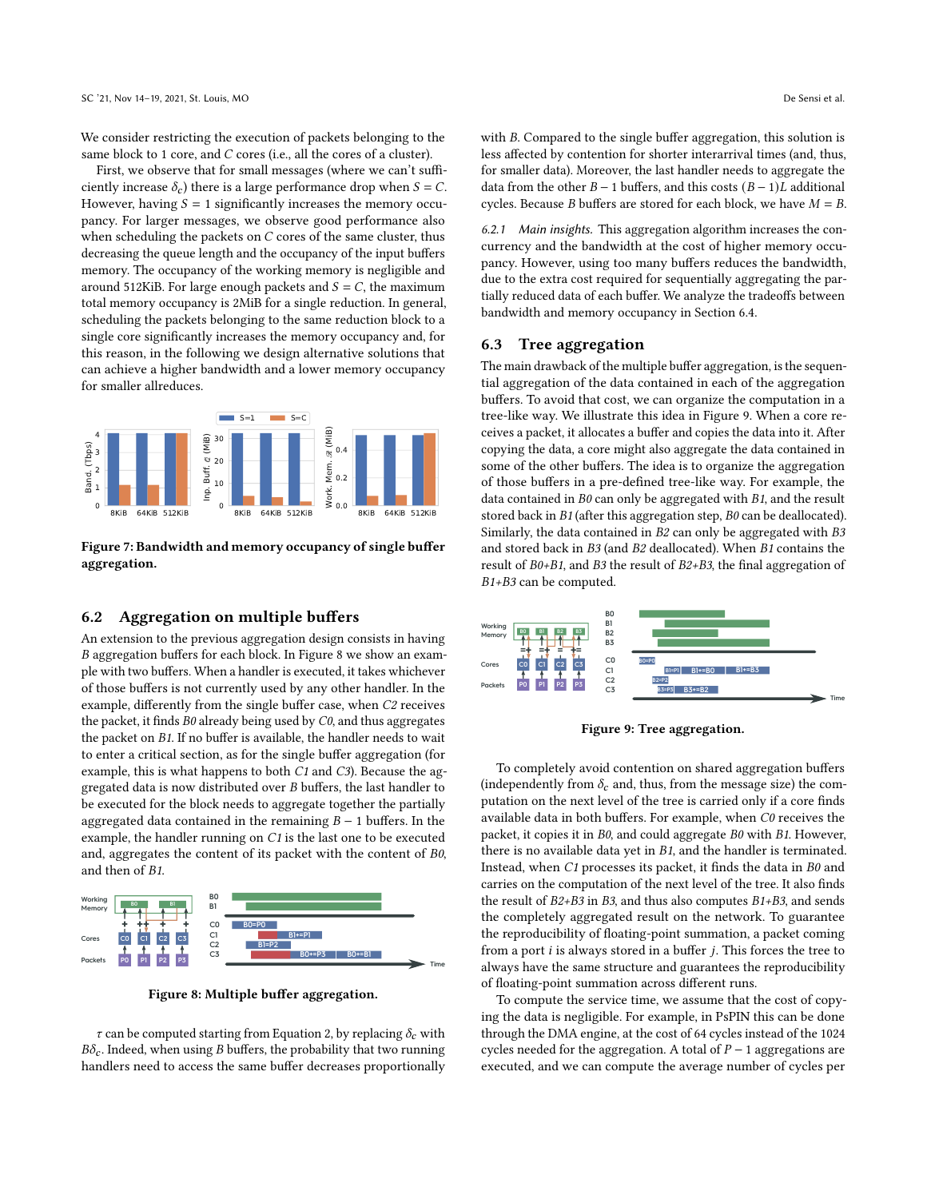We consider restricting the execution of packets belonging to the same block to 1 core, and  $C$  cores (i.e., all the cores of a cluster).

First, we observe that for small messages (where we can't sufficiently increase  $\delta_c$ ) there is a large performance drop when  $S = C$ . However, having  $S = 1$  significantly increases the memory occupancy. For larger messages, we observe good performance also when scheduling the packets on  $C$  cores of the same cluster, thus decreasing the queue length and the occupancy of the input buffers memory. The occupancy of the working memory is negligible and around 512KiB. For large enough packets and  $S = C$ , the maximum total memory occupancy is 2MiB for a single reduction. In general, scheduling the packets belonging to the same reduction block to a single core significantly increases the memory occupancy and, for this reason, in the following we design alternative solutions that can achieve a higher bandwidth and a lower memory occupancy for smaller allreduces.

<span id="page-7-2"></span>

Figure 7: Bandwidth and memory occupancy of single buffer aggregation.

## <span id="page-7-0"></span>6.2 Aggregation on multiple buffers

An extension to the previous aggregation design consists in having aggregation buffers for each block. In Figure [8](#page-7-3) we show an example with two buffers. When a handler is executed, it takes whichever of those buffers is not currently used by any other handler. In the example, differently from the single buffer case, when C2 receives the packet, it finds  $B0$  already being used by  $C0$ , and thus aggregates the packet on B1. If no buffer is available, the handler needs to wait to enter a critical section, as for the single buffer aggregation (for example, this is what happens to both C1 and C3). Because the aggregated data is now distributed over  $B$  buffers, the last handler to be executed for the block needs to aggregate together the partially aggregated data contained in the remaining  $B - 1$  buffers. In the example, the handler running on C1 is the last one to be executed and, aggregates the content of its packet with the content of B0, and then of B1.

<span id="page-7-3"></span>

Figure 8: Multiple buffer aggregation.

 $\tau$  can be computed starting from Equation [2,](#page-6-3) by replacing  $\delta_c$  with  $B\delta_c$ . Indeed, when using *B* buffers, the probability that two running handlers need to access the same buffer decreases proportionally with  $B$ . Compared to the single buffer aggregation, this solution is less affected by contention for shorter interarrival times (and, thus, for smaller data). Moreover, the last handler needs to aggregate the data from the other  $B - 1$  buffers, and this costs  $(B - 1)L$  additional cycles. Because *B* buffers are stored for each block, we have  $M = B$ .

6.2.1 Main insights. This aggregation algorithm increases the concurrency and the bandwidth at the cost of higher memory occupancy. However, using too many buffers reduces the bandwidth, due to the extra cost required for sequentially aggregating the partially reduced data of each buffer. We analyze the tradeoffs between bandwidth and memory occupancy in Section [6.4.](#page-8-1)

#### <span id="page-7-1"></span>6.3 Tree aggregation

The main drawback of the multiple buffer aggregation, is the sequential aggregation of the data contained in each of the aggregation buffers. To avoid that cost, we can organize the computation in a tree-like way. We illustrate this idea in Figure [9.](#page-7-4) When a core receives a packet, it allocates a buffer and copies the data into it. After copying the data, a core might also aggregate the data contained in some of the other buffers. The idea is to organize the aggregation of those buffers in a pre-defined tree-like way. For example, the data contained in  $B0$  can only be aggregated with  $B1$ , and the result stored back in B1 (after this aggregation step, B0 can be deallocated). Similarly, the data contained in B2 can only be aggregated with B3 and stored back in B3 (and B2 deallocated). When B1 contains the result of B0+B1, and B3 the result of B2+B3, the final aggregation of B1+B3 can be computed.

<span id="page-7-4"></span>

Figure 9: Tree aggregation.

To completely avoid contention on shared aggregation buffers (independently from  $\delta_c$  and, thus, from the message size) the computation on the next level of the tree is carried only if a core finds available data in both buffers. For example, when C0 receives the packet, it copies it in B0, and could aggregate B0 with B1. However, there is no available data yet in  $B1$ , and the handler is terminated. Instead, when C1 processes its packet, it finds the data in B0 and carries on the computation of the next level of the tree. It also finds the result of B2+B3 in B3, and thus also computes B1+B3, and sends the completely aggregated result on the network. To guarantee the reproducibility of floating-point summation, a packet coming from a port  $i$  is always stored in a buffer  $j$ . This forces the tree to always have the same structure and guarantees the reproducibility of floating-point summation across different runs.

To compute the service time, we assume that the cost of copying the data is negligible. For example, in PsPIN this can be done through the DMA engine, at the cost of 64 cycles instead of the 1024 cycles needed for the aggregation. A total of  $P-1$  aggregations are executed, and we can compute the average number of cycles per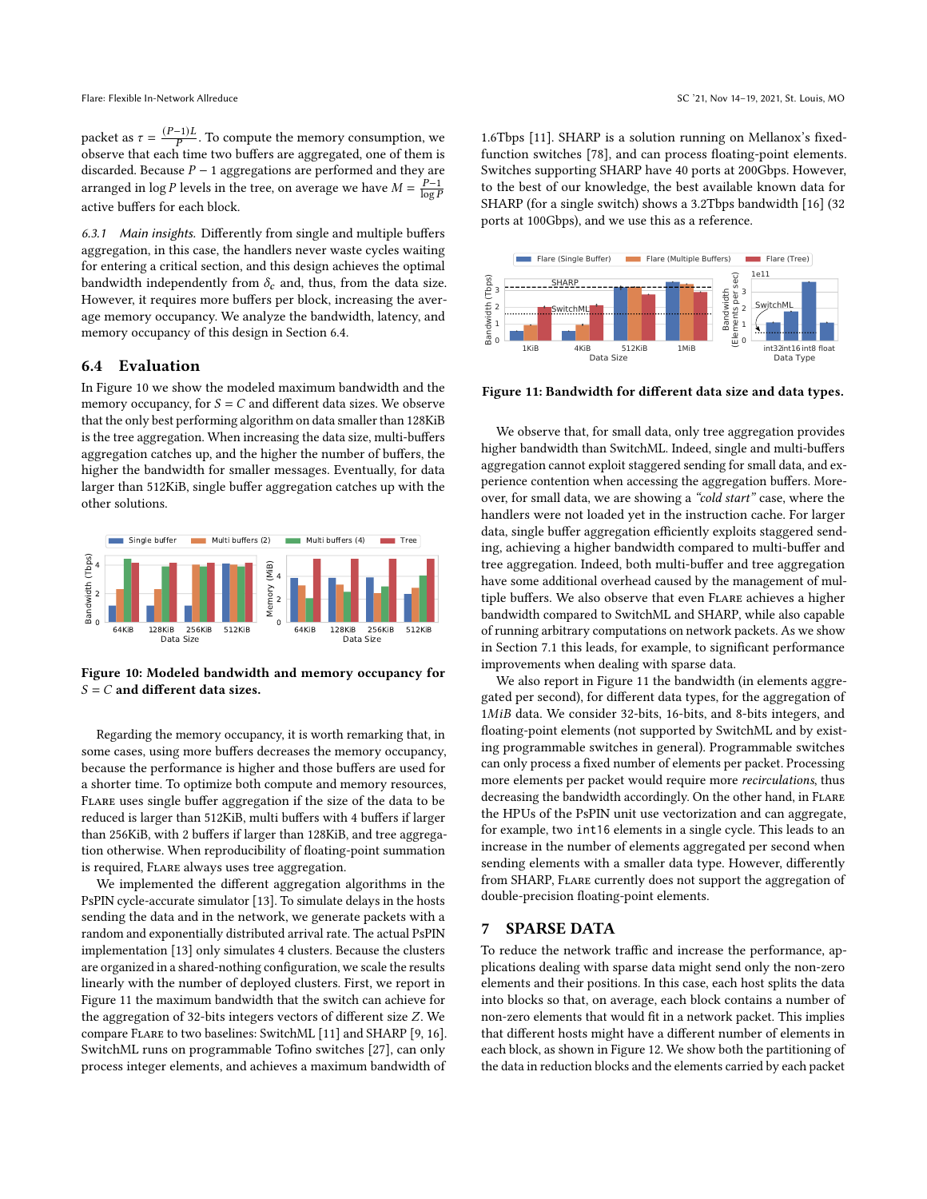packet as  $\tau = \frac{(P-1)L}{P}$ . To compute the memory consumption, we observe that each time two buffers are aggregated, one of them is discarded. Because  $P - 1$  aggregations are performed and they are arranged in log P levels in the tree, on average we have  $M = \frac{P-1}{\log P}$ active buffers for each block.

6.3.1 Main insights. Differently from single and multiple buffers aggregation, in this case, the handlers never waste cycles waiting for entering a critical section, and this design achieves the optimal bandwidth independently from  $\delta_c$  and, thus, from the data size. However, it requires more buffers per block, increasing the average memory occupancy. We analyze the bandwidth, latency, and memory occupancy of this design in Section [6.4.](#page-8-1)

# <span id="page-8-1"></span>6.4 Evaluation

In Figure [10](#page-8-2) we show the modeled maximum bandwidth and the memory occupancy, for  $S = C$  and different data sizes. We observe that the only best performing algorithm on data smaller than 128KiB is the tree aggregation. When increasing the data size, multi-buffers aggregation catches up, and the higher the number of buffers, the higher the bandwidth for smaller messages. Eventually, for data larger than 512KiB, single buffer aggregation catches up with the other solutions.

<span id="page-8-2"></span>

Figure 10: Modeled bandwidth and memory occupancy for  $S = C$  and different data sizes.

Regarding the memory occupancy, it is worth remarking that, in some cases, using more buffers decreases the memory occupancy, because the performance is higher and those buffers are used for a shorter time. To optimize both compute and memory resources, Flare uses single buffer aggregation if the size of the data to be reduced is larger than 512KiB, multi buffers with 4 buffers if larger than 256KiB, with 2 buffers if larger than 128KiB, and tree aggregation otherwise. When reproducibility of floating-point summation is required, Flare always uses tree aggregation.

We implemented the different aggregation algorithms in the PsPIN cycle-accurate simulator [\[13\]](#page-11-11). To simulate delays in the hosts sending the data and in the network, we generate packets with a random and exponentially distributed arrival rate. The actual PsPIN implementation [\[13\]](#page-11-11) only simulates 4 clusters. Because the clusters are organized in a shared-nothing configuration, we scale the results linearly with the number of deployed clusters. First, we report in Figure [11](#page-8-3) the maximum bandwidth that the switch can achieve for the aggregation of 32-bits integers vectors of different size  $Z$ . We compare Flare to two baselines: SwitchML [\[11\]](#page-11-9) and SHARP [\[9,](#page-11-8) [16\]](#page-11-15). SwitchML runs on programmable Tofino switches [\[27\]](#page-11-25), can only process integer elements, and achieves a maximum bandwidth of

1.6Tbps [\[11\]](#page-11-9). SHARP is a solution running on Mellanox's fixedfunction switches [\[78\]](#page-13-5), and can process floating-point elements. Switches supporting SHARP have 40 ports at 200Gbps. However, to the best of our knowledge, the best available known data for SHARP (for a single switch) shows a 3.2Tbps bandwidth [\[16\]](#page-11-15) (32 ports at 100Gbps), and we use this as a reference.

<span id="page-8-3"></span>

Figure 11: Bandwidth for different data size and data types.

We observe that, for small data, only tree aggregation provides higher bandwidth than SwitchML. Indeed, single and multi-buffers aggregation cannot exploit staggered sending for small data, and experience contention when accessing the aggregation buffers. Moreover, for small data, we are showing a "cold start" case, where the handlers were not loaded yet in the instruction cache. For larger data, single buffer aggregation efficiently exploits staggered sending, achieving a higher bandwidth compared to multi-buffer and tree aggregation. Indeed, both multi-buffer and tree aggregation have some additional overhead caused by the management of multiple buffers. We also observe that even Flare achieves a higher bandwidth compared to SwitchML and SHARP, while also capable of running arbitrary computations on network packets. As we show in Section [7.1](#page-9-0) this leads, for example, to significant performance improvements when dealing with sparse data.

We also report in Figure [11](#page-8-3) the bandwidth (in elements aggregated per second), for different data types, for the aggregation of 1MiB data. We consider 32-bits, 16-bits, and 8-bits integers, and floating-point elements (not supported by SwitchML and by existing programmable switches in general). Programmable switches can only process a fixed number of elements per packet. Processing more elements per packet would require more recirculations, thus decreasing the bandwidth accordingly. On the other hand, in FLARE the HPUs of the PsPIN unit use vectorization and can aggregate, for example, two int16 elements in a single cycle. This leads to an increase in the number of elements aggregated per second when sending elements with a smaller data type. However, differently from SHARP, FLARE currently does not support the aggregation of double-precision floating-point elements.

#### <span id="page-8-0"></span>7 SPARSE DATA

To reduce the network traffic and increase the performance, applications dealing with sparse data might send only the non-zero elements and their positions. In this case, each host splits the data into blocks so that, on average, each block contains a number of non-zero elements that would fit in a network packet. This implies that different hosts might have a different number of elements in each block, as shown in Figure [12.](#page-9-1) We show both the partitioning of the data in reduction blocks and the elements carried by each packet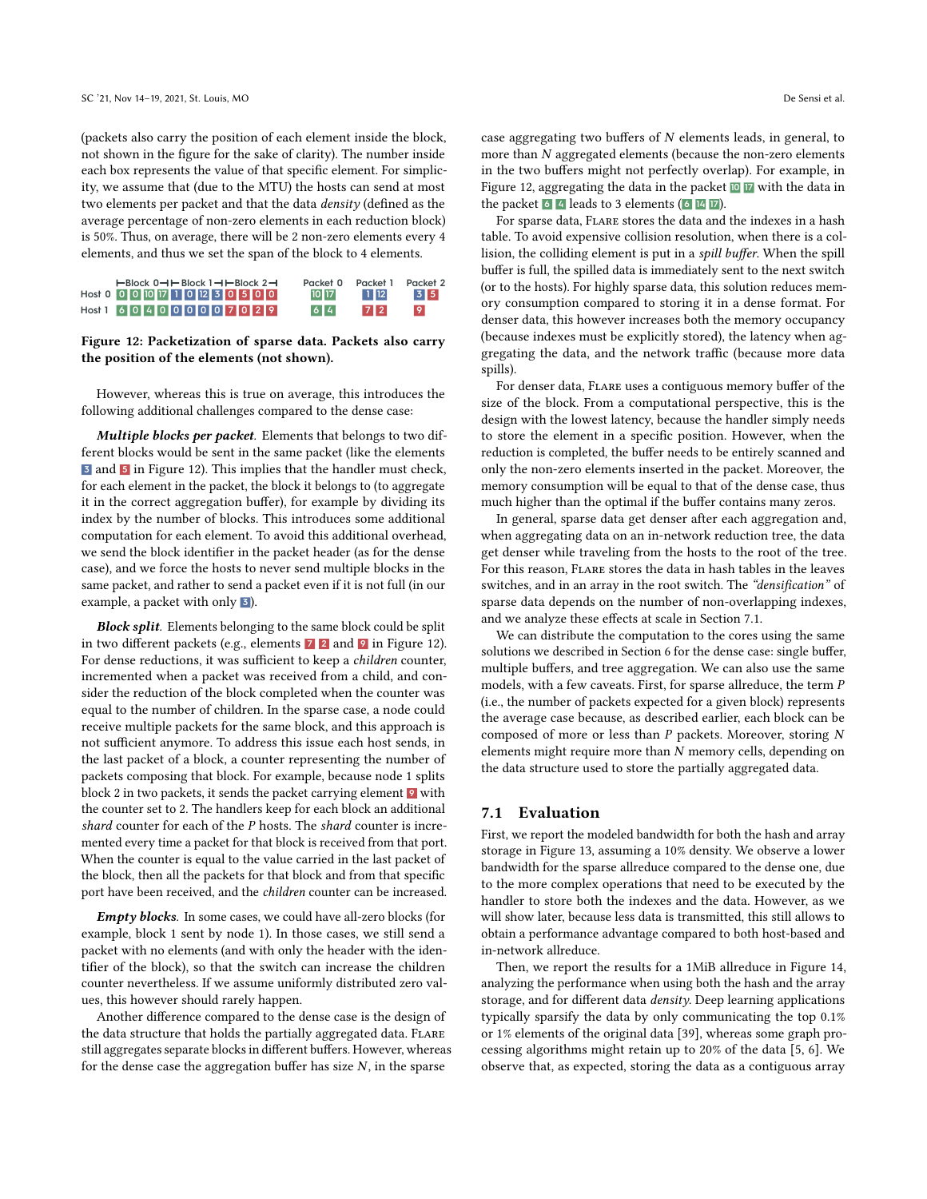(packets also carry the position of each element inside the block, not shown in the figure for the sake of clarity). The number inside each box represents the value of that specific element. For simplicity, we assume that (due to the MTU) the hosts can send at most two elements per packet and that the data density (defined as the average percentage of non-zero elements in each reduction block) is 50%. Thus, on average, there will be 2 non-zero elements every 4 elements, and thus we set the span of the block to 4 elements.

<span id="page-9-1"></span>

| HBlock 0-HHBlock 1-HHBlock 2-H      | Packet 0 | Packet 1 | Packet 2 |
|-------------------------------------|----------|----------|----------|
| Host 0 0 0 0 10 17 1 0 12 3 0 5 0 0 | 10 17    | $1$ 12   | 3 5      |
| $Host1$ 6040400000707029            | 6 4      | 72       | 9        |

#### Figure 12: Packetization of sparse data. Packets also carry the position of the elements (not shown).

However, whereas this is true on average, this introduces the following additional challenges compared to the dense case:

Multiple blocks per packet. Elements that belongs to two different blocks would be sent in the same packet (like the elements **3** and **5** in Figure [12\)](#page-9-1). This implies that the handler must check, for each element in the packet, the block it belongs to (to aggregate it in the correct aggregation buffer), for example by dividing its index by the number of blocks. This introduces some additional computation for each element. To avoid this additional overhead, we send the block identifier in the packet header (as for the dense case), and we force the hosts to never send multiple blocks in the same packet, and rather to send a packet even if it is not full (in our example, a packet with only **3** ).

**Block split.** Elements belonging to the same block could be split in two different packets (e.g., elements **7 2** and **9** in Figure [12\)](#page-9-1). For dense reductions, it was sufficient to keep a children counter, incremented when a packet was received from a child, and consider the reduction of the block completed when the counter was equal to the number of children. In the sparse case, a node could receive multiple packets for the same block, and this approach is not sufficient anymore. To address this issue each host sends, in the last packet of a block, a counter representing the number of packets composing that block. For example, because node 1 splits block 2 in two packets, it sends the packet carrying element **9** with the counter set to 2. The handlers keep for each block an additional shard counter for each of the  $P$  hosts. The shard counter is incremented every time a packet for that block is received from that port. When the counter is equal to the value carried in the last packet of the block, then all the packets for that block and from that specific port have been received, and the children counter can be increased.

Empty blocks. In some cases, we could have all-zero blocks (for example, block 1 sent by node 1). In those cases, we still send a packet with no elements (and with only the header with the identifier of the block), so that the switch can increase the children counter nevertheless. If we assume uniformly distributed zero values, this however should rarely happen.

Another difference compared to the dense case is the design of the data structure that holds the partially aggregated data. FLARE still aggregates separate blocks in different buffers. However, whereas for the dense case the aggregation buffer has size  $N$ , in the sparse

case aggregating two buffers of  $N$  elements leads, in general, to more than  $N$  aggregated elements (because the non-zero elements in the two buffers might not perfectly overlap). For example, in Figure [12,](#page-9-1) aggregating the data in the packet **10 17** with the data in the packet **6 4** leads to 3 elements ( **6 14 17** ).

For sparse data, Flare stores the data and the indexes in a hash table. To avoid expensive collision resolution, when there is a collision, the colliding element is put in a spill buffer. When the spill buffer is full, the spilled data is immediately sent to the next switch (or to the hosts). For highly sparse data, this solution reduces memory consumption compared to storing it in a dense format. For denser data, this however increases both the memory occupancy (because indexes must be explicitly stored), the latency when aggregating the data, and the network traffic (because more data spills).

For denser data, Flare uses a contiguous memory buffer of the size of the block. From a computational perspective, this is the design with the lowest latency, because the handler simply needs to store the element in a specific position. However, when the reduction is completed, the buffer needs to be entirely scanned and only the non-zero elements inserted in the packet. Moreover, the memory consumption will be equal to that of the dense case, thus much higher than the optimal if the buffer contains many zeros.

In general, sparse data get denser after each aggregation and, when aggregating data on an in-network reduction tree, the data get denser while traveling from the hosts to the root of the tree. For this reason, Flare stores the data in hash tables in the leaves switches, and in an array in the root switch. The "densification" of sparse data depends on the number of non-overlapping indexes, and we analyze these effects at scale in Section [7.1.](#page-9-0)

We can distribute the computation to the cores using the same solutions we described in Section [6](#page-6-0) for the dense case: single buffer, multiple buffers, and tree aggregation. We can also use the same models, with a few caveats. First, for sparse allreduce, the term  $P$ (i.e., the number of packets expected for a given block) represents the average case because, as described earlier, each block can be composed of more or less than  $P$  packets. Moreover, storing  $N$ elements might require more than  $N$  memory cells, depending on the data structure used to store the partially aggregated data.

#### <span id="page-9-0"></span>7.1 Evaluation

First, we report the modeled bandwidth for both the hash and array storage in Figure [13,](#page-10-0) assuming a 10% density. We observe a lower bandwidth for the sparse allreduce compared to the dense one, due to the more complex operations that need to be executed by the handler to store both the indexes and the data. However, as we will show later, because less data is transmitted, this still allows to obtain a performance advantage compared to both host-based and in-network allreduce.

Then, we report the results for a 1MiB allreduce in Figure [14,](#page-10-1) analyzing the performance when using both the hash and the array storage, and for different data *density*. Deep learning applications typically sparsify the data by only communicating the top 0.1% or 1% elements of the original data [\[39\]](#page-12-6), whereas some graph processing algorithms might retain up to 20% of the data [\[5,](#page-11-4) [6\]](#page-11-5). We observe that, as expected, storing the data as a contiguous array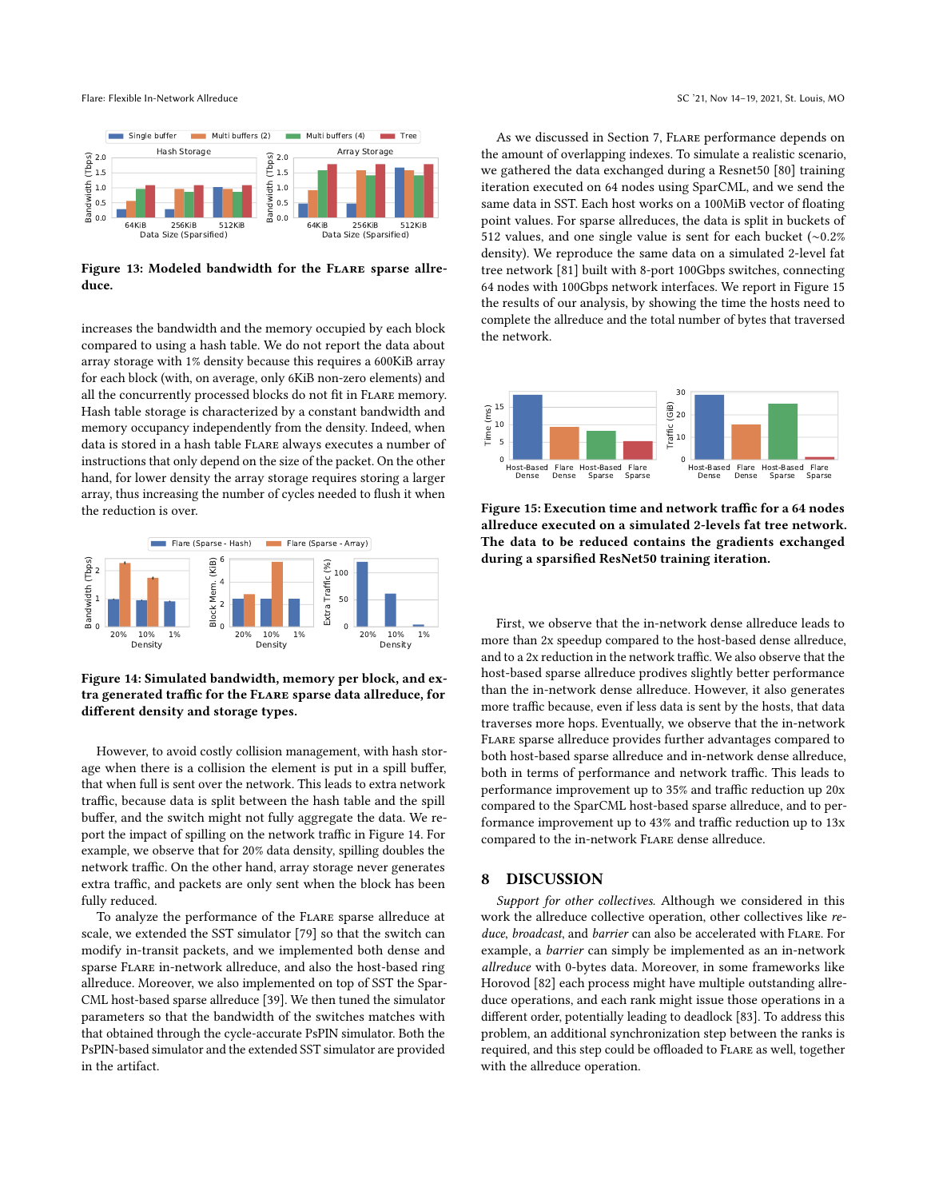<span id="page-10-0"></span>

Figure 13: Modeled bandwidth for the FLARE sparse allreduce.

increases the bandwidth and the memory occupied by each block compared to using a hash table. We do not report the data about array storage with 1% density because this requires a 600KiB array for each block (with, on average, only 6KiB non-zero elements) and all the concurrently processed blocks do not fit in Flare memory. Hash table storage is characterized by a constant bandwidth and memory occupancy independently from the density. Indeed, when data is stored in a hash table Flare always executes a number of instructions that only depend on the size of the packet. On the other hand, for lower density the array storage requires storing a larger array, thus increasing the number of cycles needed to flush it when the reduction is over.

<span id="page-10-1"></span>

Figure 14: Simulated bandwidth, memory per block, and extra generated traffic for the Flare sparse data allreduce, for different density and storage types.

However, to avoid costly collision management, with hash storage when there is a collision the element is put in a spill buffer, that when full is sent over the network. This leads to extra network traffic, because data is split between the hash table and the spill buffer, and the switch might not fully aggregate the data. We report the impact of spilling on the network traffic in Figure [14.](#page-10-1) For example, we observe that for 20% data density, spilling doubles the network traffic. On the other hand, array storage never generates extra traffic, and packets are only sent when the block has been fully reduced.

To analyze the performance of the Flare sparse allreduce at scale, we extended the SST simulator [\[79\]](#page-13-6) so that the switch can modify in-transit packets, and we implemented both dense and sparse Flare in-network allreduce, and also the host-based ring allreduce. Moreover, we also implemented on top of SST the Spar-CML host-based sparse allreduce [\[39\]](#page-12-6). We then tuned the simulator parameters so that the bandwidth of the switches matches with that obtained through the cycle-accurate PsPIN simulator. Both the PsPIN-based simulator and the extended SST simulator are provided in the artifact.

As we discussed in Section [7,](#page-8-0) Flare performance depends on the amount of overlapping indexes. To simulate a realistic scenario, we gathered the data exchanged during a Resnet50 [\[80\]](#page-13-7) training iteration executed on 64 nodes using SparCML, and we send the same data in SST. Each host works on a 100MiB vector of floating point values. For sparse allreduces, the data is split in buckets of 512 values, and one single value is sent for each bucket (∼0.2% density). We reproduce the same data on a simulated 2-level fat tree network [\[81\]](#page-13-8) built with 8-port 100Gbps switches, connecting 64 nodes with 100Gbps network interfaces. We report in Figure [15](#page-10-2) the results of our analysis, by showing the time the hosts need to complete the allreduce and the total number of bytes that traversed the network.

<span id="page-10-2"></span>

Figure 15: Execution time and network traffic for a 64 nodes allreduce executed on a simulated 2-levels fat tree network. The data to be reduced contains the gradients exchanged during a sparsified ResNet50 training iteration.

First, we observe that the in-network dense allreduce leads to more than 2x speedup compared to the host-based dense allreduce, and to a 2x reduction in the network traffic. We also observe that the host-based sparse allreduce prodives slightly better performance than the in-network dense allreduce. However, it also generates more traffic because, even if less data is sent by the hosts, that data traverses more hops. Eventually, we observe that the in-network Flare sparse allreduce provides further advantages compared to both host-based sparse allreduce and in-network dense allreduce, both in terms of performance and network traffic. This leads to performance improvement up to 35% and traffic reduction up 20x compared to the SparCML host-based sparse allreduce, and to performance improvement up to 43% and traffic reduction up to 13x compared to the in-network Flare dense allreduce.

## 8 DISCUSSION

Support for other collectives. Although we considered in this work the allreduce collective operation, other collectives like reduce, broadcast, and barrier can also be accelerated with FLARE. For example, a barrier can simply be implemented as an in-network allreduce with 0-bytes data. Moreover, in some frameworks like Horovod [\[82\]](#page-13-9) each process might have multiple outstanding allreduce operations, and each rank might issue those operations in a different order, potentially leading to deadlock [\[83\]](#page-13-10). To address this problem, an additional synchronization step between the ranks is required, and this step could be offloaded to Flare as well, together with the allreduce operation.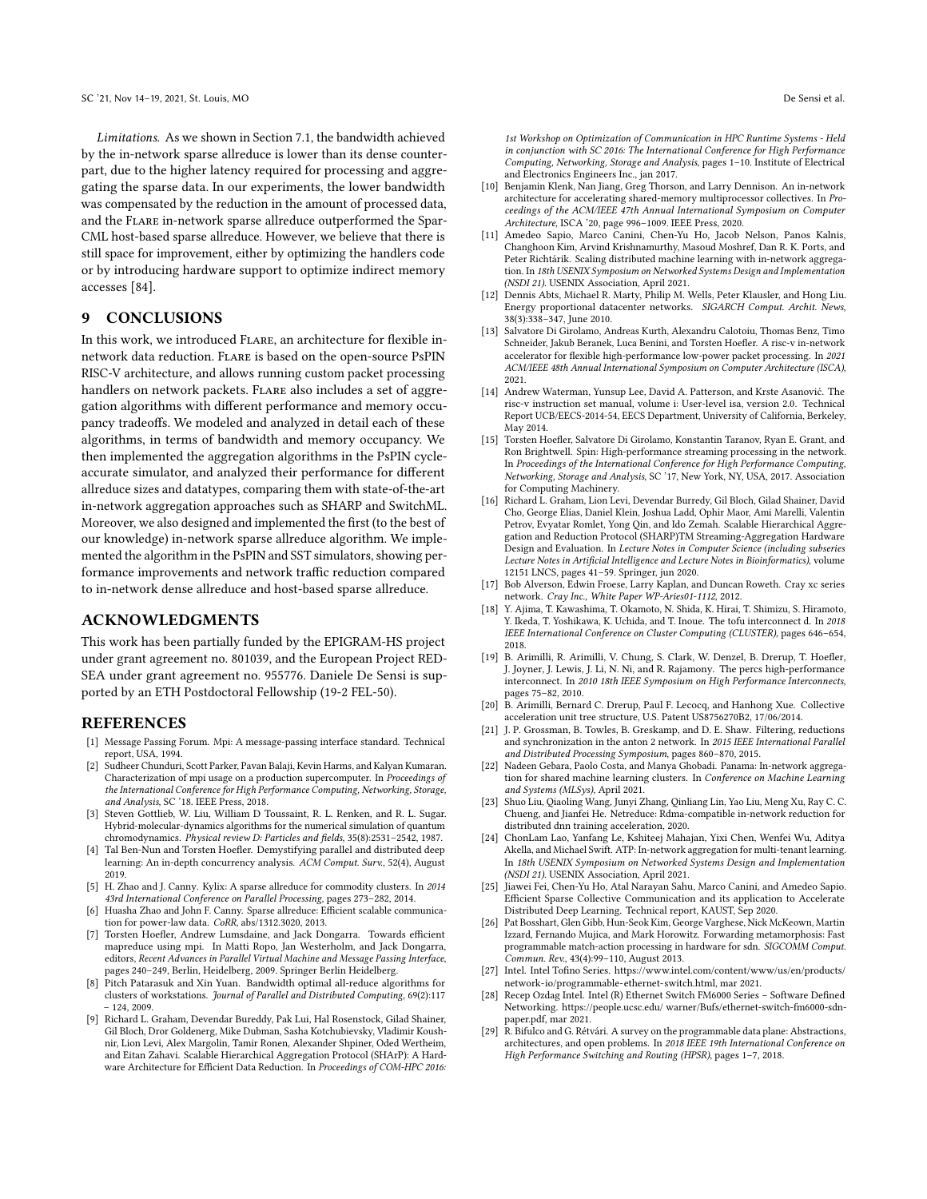Limitations. As we shown in Section [7.1,](#page-9-0) the bandwidth achieved by the in-network sparse allreduce is lower than its dense counterpart, due to the higher latency required for processing and aggregating the sparse data. In our experiments, the lower bandwidth was compensated by the reduction in the amount of processed data, and the Flare in-network sparse allreduce outperformed the Spar-CML host-based sparse allreduce. However, we believe that there is still space for improvement, either by optimizing the handlers code or by introducing hardware support to optimize indirect memory accesses [\[84\]](#page-13-11).

## 9 CONCLUSIONS

In this work, we introduced Flare, an architecture for flexible innetwork data reduction. Flare is based on the open-source PsPIN RISC-V architecture, and allows running custom packet processing handlers on network packets. FLARE also includes a set of aggregation algorithms with different performance and memory occupancy tradeoffs. We modeled and analyzed in detail each of these algorithms, in terms of bandwidth and memory occupancy. We then implemented the aggregation algorithms in the PsPIN cycleaccurate simulator, and analyzed their performance for different allreduce sizes and datatypes, comparing them with state-of-the-art in-network aggregation approaches such as SHARP and SwitchML. Moreover, we also designed and implemented the first (to the best of our knowledge) in-network sparse allreduce algorithm. We implemented the algorithm in the PsPIN and SST simulators, showing performance improvements and network traffic reduction compared to in-network dense allreduce and host-based sparse allreduce.

## ACKNOWLEDGMENTS

This work has been partially funded by the EPIGRAM-HS project under grant agreement no. 801039, and the European Project RED-SEA under grant agreement no. 955776. Daniele De Sensi is supported by an ETH Postdoctoral Fellowship (19-2 FEL-50).

#### REFERENCES

- <span id="page-11-0"></span>[1] Message Passing Forum. Mpi: A message-passing interface standard. Technical report, USA, 1994.
- <span id="page-11-1"></span>[2] Sudheer Chunduri, Scott Parker, Pavan Balaji, Kevin Harms, and Kalyan Kumaran. Characterization of mpi usage on a production supercomputer. In Proceedings of the International Conference for High Performance Computing, Networking, Storage, and Analysis, SC '18. IEEE Press, 2018.
- <span id="page-11-2"></span>[3] Steven Gottlieb, W. Liu, William D Toussaint, R. L. Renken, and R. L. Sugar. Hybrid-molecular-dynamics algorithms for the numerical simulation of quantum chromodynamics. Physical review D: Particles and fields, 35(8):2531–2542, 1987.
- <span id="page-11-3"></span>[4] Tal Ben-Nun and Torsten Hoefler. Demystifying parallel and distributed deep learning: An in-depth concurrency analysis. ACM Comput. Surv., 52(4), August 2019.
- <span id="page-11-4"></span>[5] H. Zhao and J. Canny. Kylix: A sparse allreduce for commodity clusters. In 2014 43rd International Conference on Parallel Processing, pages 273–282, 2014.
- <span id="page-11-5"></span>[6] Huasha Zhao and John F. Canny. Sparse allreduce: Efficient scalable communication for power-law data. CoRR, abs/1312.3020, 2013.
- <span id="page-11-6"></span>[7] Torsten Hoefler, Andrew Lumsdaine, and Jack Dongarra. Towards efficient mapreduce using mpi. In Matti Ropo, Jan Westerholm, and Jack Dongarra, editors, Recent Advances in Parallel Virtual Machine and Message Passing Interface, pages 240–249, Berlin, Heidelberg, 2009. Springer Berlin Heidelberg.
- <span id="page-11-7"></span>[8] Pitch Patarasuk and Xin Yuan. Bandwidth optimal all-reduce algorithms for clusters of workstations. Journal of Parallel and Distributed Computing, 69(2):117 – 124, 2009.
- <span id="page-11-8"></span>[9] Richard L. Graham, Devendar Bureddy, Pak Lui, Hal Rosenstock, Gilad Shainer, Gil Bloch, Dror Goldenerg, Mike Dubman, Sasha Kotchubievsky, Vladimir Koushnir, Lion Levi, Alex Margolin, Tamir Ronen, Alexander Shpiner, Oded Wertheim, and Eitan Zahavi. Scalable Hierarchical Aggregation Protocol (SHArP): A Hardware Architecture for Efficient Data Reduction. In Proceedings of COM-HPC 2016:

1st Workshop on Optimization of Communication in HPC Runtime Systems - Held in conjunction with SC 2016: The International Conference for High Performance Computing, Networking, Storage and Analysis, pages 1–10. Institute of Electrical and Electronics Engineers Inc., jan 2017.

- <span id="page-11-14"></span>[10] Benjamin Klenk, Nan Jiang, Greg Thorson, and Larry Dennison. An in-network architecture for accelerating shared-memory multiprocessor collectives. In Proceedings of the ACM/IEEE 47th Annual International Symposium on Computer Architecture, ISCA '20, page 996–1009. IEEE Press, 2020.
- <span id="page-11-9"></span>[11] Amedeo Sapio, Marco Canini, Chen-Yu Ho, Jacob Nelson, Panos Kalnis, Changhoon Kim, Arvind Krishnamurthy, Masoud Moshref, Dan R. K. Ports, and Peter Richtárik. Scaling distributed machine learning with in-network aggregation. In 18th USENIX Symposium on Networked Systems Design and Implementation (NSDI 21). USENIX Association, April 2021.
- <span id="page-11-10"></span>[12] Dennis Abts, Michael R. Marty, Philip M. Wells, Peter Klausler, and Hong Liu. Energy proportional datacenter networks. SIGARCH Comput. Archit. News, 38(3):338–347, June 2010.
- <span id="page-11-11"></span>[13] Salvatore Di Girolamo, Andreas Kurth, Alexandru Calotoiu, Thomas Benz, Timo Schneider, Jakub Beranek, Luca Benini, and Torsten Hoefler. A risc-v in-network accelerator for flexible high-performance low-power packet processing. In 2021 ACM/IEEE 48th Annual International Symposium on Computer Architecture (ISCA), 2021.
- <span id="page-11-12"></span>[14] Andrew Waterman, Yunsup Lee, David A. Patterson, and Krste Asanović. The risc-v instruction set manual, volume i: User-level isa, version 2.0. Technical Report UCB/EECS-2014-54, EECS Department, University of California, Berkeley, May 2014.
- <span id="page-11-13"></span>[15] Torsten Hoefler, Salvatore Di Girolamo, Konstantin Taranov, Ryan E. Grant, and Ron Brightwell. Spin: High-performance streaming processing in the network. In Proceedings of the International Conference for High Performance Computing, Networking, Storage and Analysis, SC '17, New York, NY, USA, 2017. Association for Computing Machinery.
- <span id="page-11-15"></span>[16] Richard L. Graham, Lion Levi, Devendar Burredy, Gil Bloch, Gilad Shainer, David Cho, George Elias, Daniel Klein, Joshua Ladd, Ophir Maor, Ami Marelli, Valentin Petrov, Evyatar Romlet, Yong Qin, and Ido Zemah. Scalable Hierarchical Aggregation and Reduction Protocol (SHARP)TM Streaming-Aggregation Hardware Design and Evaluation. In Lecture Notes in Computer Science (including subseries Lecture Notes in Artificial Intelligence and Lecture Notes in Bioinformatics), volume 12151 LNCS, pages 41–59. Springer, jun 2020.
- <span id="page-11-18"></span>[17] Bob Alverson, Edwin Froese, Larry Kaplan, and Duncan Roweth. Cray xc series network. Cray Inc., White Paper WP-Aries01-1112, 2012.
- <span id="page-11-17"></span>[18] Y. Ajima, T. Kawashima, T. Okamoto, N. Shida, K. Hirai, T. Shimizu, S. Hiramoto, Y. Ikeda, T. Yoshikawa, K. Uchida, and T. Inoue. The tofu interconnect d. In 2018 IEEE International Conference on Cluster Computing (CLUSTER), pages 646–654, 2018.
- <span id="page-11-26"></span>[19] B. Arimilli, R. Arimilli, V. Chung, S. Clark, W. Denzel, B. Drerup, T. Hoefler, J. Joyner, J. Lewis, J. Li, N. Ni, and R. Rajamony. The percs high-performance interconnect. In 2010 18th IEEE Symposium on High Performance Interconnects, pages 75–82, 2010.
- [20] B. Arimilli, Bernard C. Drerup, Paul F. Lecocq, and Hanhong Xue. Collective acceleration unit tree structure, U.S. Patent US8756270B2, 17/06/2014.
- <span id="page-11-16"></span>[21] J. P. Grossman, B. Towles, B. Greskamp, and D. E. Shaw. Filtering, reductions and synchronization in the anton 2 network. In 2015 IEEE International Parallel and Distributed Processing Symposium, pages 860–870, 2015.
- <span id="page-11-19"></span>[22] Nadeen Gebara, Paolo Costa, and Manya Ghobadi. Panama: In-network aggregation for shared machine learning clusters. In Conference on Machine Learning and Systems (MLSys), April 2021.
- <span id="page-11-20"></span>[23] Shuo Liu, Qiaoling Wang, Junyi Zhang, Qinliang Lin, Yao Liu, Meng Xu, Ray C. C. Chueng, and Jianfei He. Netreduce: Rdma-compatible in-network reduction for distributed dnn training acceleration, 2020.
- <span id="page-11-21"></span>[24] ChonLam Lao, Yanfang Le, Kshiteej Mahajan, Yixi Chen, Wenfei Wu, Aditya Akella, and Michael Swift. ATP: In-network aggregation for multi-tenant learning. In 18th USENIX Symposium on Networked Systems Design and Implementation (NSDI 21). USENIX Association, April 2021.
- <span id="page-11-22"></span>Jiawei Fei, Chen-Yu Ho, Atal Narayan Sahu, Marco Canini, and Amedeo Sapio. Efficient Sparse Collective Communication and its application to Accelerate Distributed Deep Learning. Technical report, KAUST, Sep 2020.
- <span id="page-11-23"></span>[26] Pat Bosshart, Glen Gibb, Hun-Seok Kim, George Varghese, Nick McKeown, Martin Izzard, Fernando Mujica, and Mark Horowitz. Forwarding metamorphosis: Fast programmable match-action processing in hardware for sdn. SIGCOMM Comput. Commun. Rev., 43(4):99–110, August 2013.
- <span id="page-11-25"></span>[27] Intel. Intel Tofino Series. [https://www.intel.com/content/www/us/en/products/](https://www.intel.com/content/www/us/en/products/network-io/programmable-ethernet-switch.html) [network-io/programmable-ethernet-switch.html,](https://www.intel.com/content/www/us/en/products/network-io/programmable-ethernet-switch.html) mar 2021.
- <span id="page-11-27"></span>[28] Recep Ozdag Intel. Intel (R) Ethernet Switch FM6000 Series – Software Defined Networking. https://people.ucsc.edu/ warner/Bufs/ethernet-switch-fm6000-sdnpaper.pdf, mar 2021.
- <span id="page-11-24"></span>[29] R. Bifulco and G. Rétvári. A survey on the programmable data plane: Abstractions, architectures, and open problems. In 2018 IEEE 19th International Conference on High Performance Switching and Routing (HPSR), pages 1–7, 2018.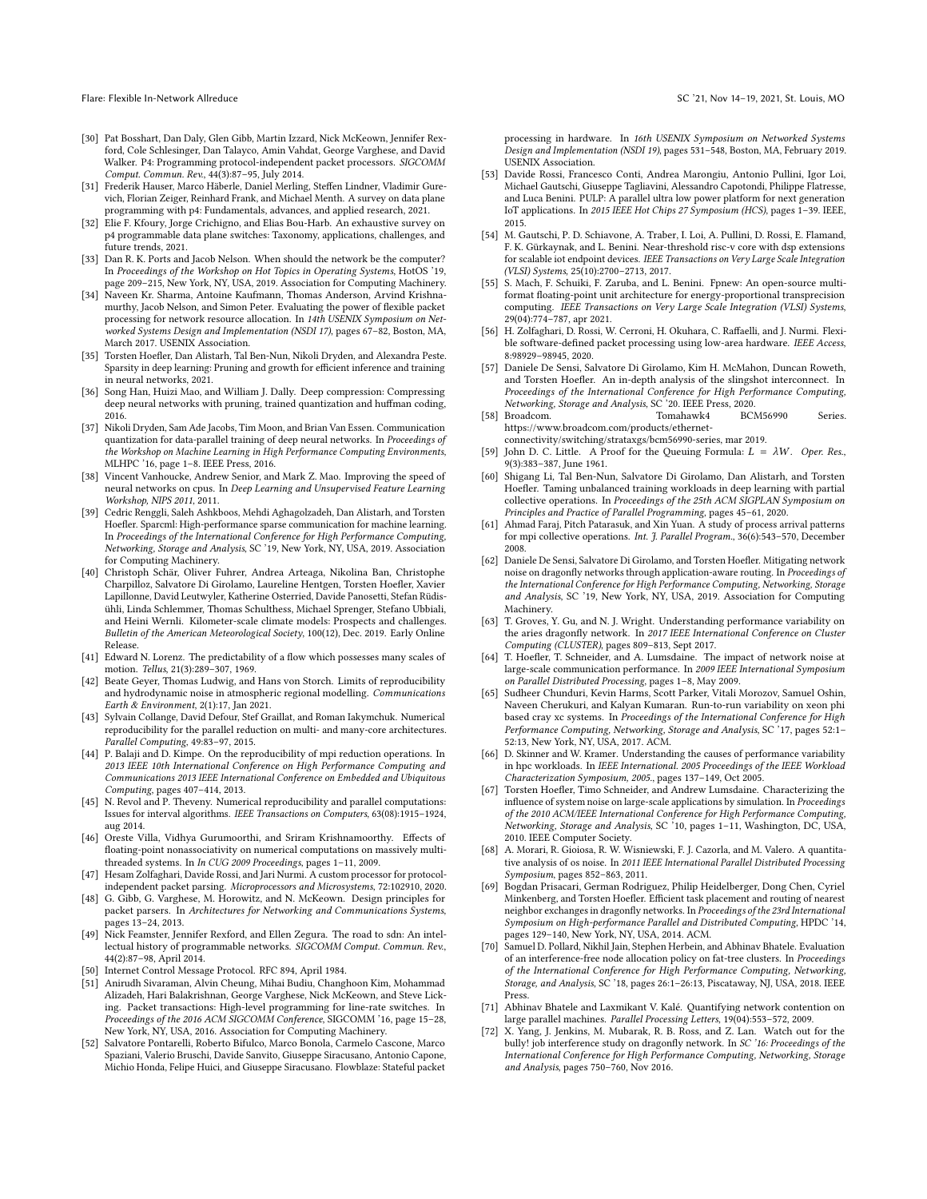- <span id="page-12-0"></span>[30] Pat Bosshart, Dan Daly, Glen Gibb, Martin Izzard, Nick McKeown, Jennifer Rexford, Cole Schlesinger, Dan Talayco, Amin Vahdat, George Varghese, and David Walker. P4: Programming protocol-independent packet processors. SIGCOMM Comput. Commun. Rev., 44(3):87–95, July 2014.
- [31] Frederik Hauser, Marco Häberle, Daniel Merling, Steffen Lindner, Vladimir Gurevich, Florian Zeiger, Reinhard Frank, and Michael Menth. A survey on data plane programming with p4: Fundamentals, advances, and applied research, 2021.
- <span id="page-12-1"></span>[32] Elie F. Kfoury, Jorge Crichigno, and Elias Bou-Harb. An exhaustive survey on p4 programmable data plane switches: Taxonomy, applications, challenges, and future trends, 2021.
- <span id="page-12-2"></span>[33] Dan R. K. Ports and Jacob Nelson. When should the network be the computer? In Proceedings of the Workshop on Hot Topics in Operating Systems, HotOS '19, page 209–215, New York, NY, USA, 2019. Association for Computing Machinery.
- <span id="page-12-3"></span>[34] Naveen Kr. Sharma, Antoine Kaufmann, Thomas Anderson, Arvind Krishnamurthy, Jacob Nelson, and Simon Peter. Evaluating the power of flexible packet processing for network resource allocation. In 14th USENIX Symposium on Networked Systems Design and Implementation (NSDI 17), pages 67–82, Boston, MA, March 2017. USENIX Association.
- <span id="page-12-4"></span>[35] Torsten Hoefler, Dan Alistarh, Tal Ben-Nun, Nikoli Dryden, and Alexandra Peste. Sparsity in deep learning: Pruning and growth for efficient inference and training in neural networks, 2021.
- [36] Song Han, Huizi Mao, and William J. Dally. Deep compression: Compressing deep neural networks with pruning, trained quantization and huffman coding, 2016.
- [37] Nikoli Dryden, Sam Ade Jacobs, Tim Moon, and Brian Van Essen. Communication quantization for data-parallel training of deep neural networks. In Proceedings of the Workshop on Machine Learning in High Performance Computing Environments, MLHPC '16, page 1–8. IEEE Press, 2016.
- <span id="page-12-5"></span>[38] Vincent Vanhoucke, Andrew Senior, and Mark Z. Mao. Improving the speed of neural networks on cpus. In Deep Learning and Unsupervised Feature Learning Workshop, NIPS 2011, 2011.
- <span id="page-12-6"></span>[39] Cedric Renggli, Saleh Ashkboos, Mehdi Aghagolzadeh, Dan Alistarh, and Torsten Hoefler. Sparcml: High-performance sparse communication for machine learning. In Proceedings of the International Conference for High Performance Computing, Networking, Storage and Analysis, SC '19, New York, NY, USA, 2019. Association for Computing Machinery.
- <span id="page-12-7"></span>[40] Christoph Schär, Oliver Fuhrer, Andrea Arteaga, Nikolina Ban, Christophe Charpilloz, Salvatore Di Girolamo, Laureline Hentgen, Torsten Hoefler, Xavier Lapillonne, David Leutwyler, Katherine Osterried, Davide Panosetti, Stefan Rüdisühli, Linda Schlemmer, Thomas Schulthess, Michael Sprenger, Stefano Ubbiali, and Heini Wernli. Kilometer-scale climate models: Prospects and challenges. Bulletin of the American Meteorological Society, 100(12), Dec. 2019. Early Online Release.
- <span id="page-12-8"></span>[41] Edward N. Lorenz. The predictability of a flow which possesses many scales of motion. Tellus, 21(3):289–307, 1969.
- <span id="page-12-9"></span>[42] Beate Geyer, Thomas Ludwig, and Hans von Storch. Limits of reproducibility and hydrodynamic noise in atmospheric regional modelling. Communications Earth & Environment, 2(1):17, Jan 2021.
- [43] Sylvain Collange, David Defour, Stef Graillat, and Roman Iakymchuk. Numerical reproducibility for the parallel reduction on multi- and many-core architectures. Parallel Computing, 49:83–97, 2015.
- [44] P. Balaji and D. Kimpe. On the reproducibility of mpi reduction operations. In 2013 IEEE 10th International Conference on High Performance Computing and Communications 2013 IEEE International Conference on Embedded and Ubiquitous Computing, pages 407–414, 2013.
- [45] N. Revol and P. Theveny. Numerical reproducibility and parallel computations: Issues for interval algorithms. IEEE Transactions on Computers, 63(08):1915–1924, aug 2014.
- <span id="page-12-10"></span>[46] Oreste Villa, Vidhya Gurumoorthi, and Sriram Krishnamoorthy. Effects of floating-point nonassociativity on numerical computations on massively multithreaded systems. In In CUG 2009 Proceedings, pages 1–11, 2009.
- <span id="page-12-11"></span>[47] Hesam Zolfaghari, Davide Rossi, and Jari Nurmi. A custom processor for protocolindependent packet parsing. Microprocessors and Microsystems, 72:102910, 2020.
- <span id="page-12-12"></span>[48] G. Gibb, G. Varghese, M. Horowitz, and N. McKeown. Design principles for packet parsers. In Architectures for Networking and Communications Systems, pages 13–24, 2013.
- <span id="page-12-13"></span>[49] Nick Feamster, Jennifer Rexford, and Ellen Zegura. The road to sdn: An intellectual history of programmable networks. SIGCOMM Comput. Commun. Rev., 44(2):87–98, April 2014.
- <span id="page-12-14"></span>[50] Internet Control Message Protocol. RFC 894, April 1984.
- <span id="page-12-15"></span>[51] Anirudh Sivaraman, Alvin Cheung, Mihai Budiu, Changhoon Kim, Mohammad Alizadeh, Hari Balakrishnan, George Varghese, Nick McKeown, and Steve Licking. Packet transactions: High-level programming for line-rate switches. In Proceedings of the 2016 ACM SIGCOMM Conference, SIGCOMM '16, page 15–28, New York, NY, USA, 2016. Association for Computing Machinery.
- <span id="page-12-16"></span>[52] Salvatore Pontarelli, Roberto Bifulco, Marco Bonola, Carmelo Cascone, Marco Spaziani, Valerio Bruschi, Davide Sanvito, Giuseppe Siracusano, Antonio Capone, Michio Honda, Felipe Huici, and Giuseppe Siracusano. Flowblaze: Stateful packet

processing in hardware. In 16th USENIX Symposium on Networked Systems Design and Implementation (NSDI 19), pages 531–548, Boston, MA, February 2019. USENIX Association.

- <span id="page-12-17"></span>[53] Davide Rossi, Francesco Conti, Andrea Marongiu, Antonio Pullini, Igor Loi, Michael Gautschi, Giuseppe Tagliavini, Alessandro Capotondi, Philippe Flatresse, and Luca Benini. PULP: A parallel ultra low power platform for next generation IoT applications. In 2015 IEEE Hot Chips 27 Symposium (HCS), pages 1–39. IEEE, 2015.
- <span id="page-12-18"></span>[54] M. Gautschi, P. D. Schiavone, A. Traber, I. Loi, A. Pullini, D. Rossi, E. Flamand, F. K. Gürkaynak, and L. Benini. Near-threshold risc-v core with dsp extensions for scalable iot endpoint devices. IEEE Transactions on Very Large Scale Integration (VLSI) Systems, 25(10):2700–2713, 2017.
- <span id="page-12-19"></span>[55] S. Mach, F. Schuiki, F. Zaruba, and L. Benini. Fpnew: An open-source multiformat floating-point unit architecture for energy-proportional transprecision computing. IEEE Transactions on Very Large Scale Integration (VLSI) Systems, 29(04):774–787, apr 2021.
- <span id="page-12-20"></span>[56] H. Zolfaghari, D. Rossi, W. Cerroni, H. Okuhara, C. Raffaelli, and J. Nurmi. Flexible software-defined packet processing using low-area hardware. IEEE Access, 8:98929–98945, 2020.
- <span id="page-12-21"></span>[57] Daniele De Sensi, Salvatore Di Girolamo, Kim H. McMahon, Duncan Roweth, and Torsten Hoefler. An in-depth analysis of the slingshot interconnect. In Proceedings of the International Conference for High Performance Computing, Networking, Storage and Analysis, SC '20. IEEE Press, 2020. [58] Broadcom. Tomahawk4 BCM56990 Series.
- <span id="page-12-22"></span>https://www.broadcom.com/products/ethernet-

connectivity/switching/strataxgs/bcm56990-series, mar 2019.

- <span id="page-12-23"></span>[59] John D. C. Little. A Proof for the Queuing Formula:  $L = \lambda W$ . Oper. Res., 9(3):383–387, June 1961.
- <span id="page-12-24"></span>[60] Shigang Li, Tal Ben-Nun, Salvatore Di Girolamo, Dan Alistarh, and Torsten Hoefler. Taming unbalanced training workloads in deep learning with partial collective operations. In Proceedings of the 25th ACM SIGPLAN Symposium on Principles and Practice of Parallel Programming, pages 45–61, 2020.
- <span id="page-12-25"></span>[61] Ahmad Faraj, Pitch Patarasuk, and Xin Yuan. A study of process arrival patterns for mpi collective operations. Int. J. Parallel Program., 36(6):543–570, December 2008.
- <span id="page-12-26"></span>[62] Daniele De Sensi, Salvatore Di Girolamo, and Torsten Hoefler. Mitigating network noise on dragonfly networks through application-aware routing. In Proceedings of the International Conference for High Performance Computing, Networking, Storage and Analysis, SC '19, New York, NY, USA, 2019. Association for Computing Machinery.
- [63] T. Groves, Y. Gu, and N. J. Wright. Understanding performance variability on the aries dragonfly network. In 2017 IEEE International Conference on Cluster Computing (CLUSTER), pages 809–813, Sept 2017.
- [64] T. Hoefler, T. Schneider, and A. Lumsdaine. The impact of network noise at large-scale communication performance. In 2009 IEEE International Symposium on Parallel Distributed Processing, pages 1–8, May 2009.
- [65] Sudheer Chunduri, Kevin Harms, Scott Parker, Vitali Morozov, Samuel Oshin, Naveen Cherukuri, and Kalyan Kumaran. Run-to-run variability on xeon phi based cray xc systems. In Proceedings of the International Conference for High Performance Computing, Networking, Storage and Analysis, SC '17, pages 52:1– 52:13, New York, NY, USA, 2017. ACM.
- <span id="page-12-27"></span>[66] D. Skinner and W. Kramer. Understanding the causes of performance variability in hpc workloads. In IEEE International. 2005 Proceedings of the IEEE Workload Characterization Symposium, 2005., pages 137–149, Oct 2005.
- <span id="page-12-28"></span>[67] Torsten Hoefler, Timo Schneider, and Andrew Lumsdaine. Characterizing the influence of system noise on large-scale applications by simulation. In Proceedings of the 2010 ACM/IEEE International Conference for High Performance Computing, Networking, Storage and Analysis, SC '10, pages 1–11, Washington, DC, USA, 2010. IEEE Computer Society.
- <span id="page-12-29"></span>[68] A. Morari, R. Gioiosa, R. W. Wisniewski, F. J. Cazorla, and M. Valero. A quantitative analysis of os noise. In 2011 IEEE International Parallel Distributed Processing Symposium, pages 852–863, 2011.
- <span id="page-12-30"></span>[69] Bogdan Prisacari, German Rodriguez, Philip Heidelberger, Dong Chen, Cyriel Minkenberg, and Torsten Hoefler. Efficient task placement and routing of nearest neighbor exchanges in dragonfly networks. In Proceedings of the 23rd International Symposium on High-performance Parallel and Distributed Computing, HPDC '14, pages 129–140, New York, NY, USA, 2014. ACM.
- [70] Samuel D. Pollard, Nikhil Jain, Stephen Herbein, and Abhinav Bhatele. Evaluation of an interference-free node allocation policy on fat-tree clusters. In Proceedings of the International Conference for High Performance Computing, Networking, Storage, and Analysis, SC '18, pages 26:1–26:13, Piscataway, NJ, USA, 2018. IEEE Press.
- [71] Abhinav Bhatele and Laxmikant V. Kalé. Quantifying network contention on large parallel machines. Parallel Processing Letters, 19(04):553–572, 2009.
- [72] X. Yang, J. Jenkins, M. Mubarak, R. B. Ross, and Z. Lan. Watch out for the bully! job interference study on dragonfly network. In SC '16: Proceedings of the International Conference for High Performance Computing, Networking, Storage and Analysis, pages 750–760, Nov 2016.